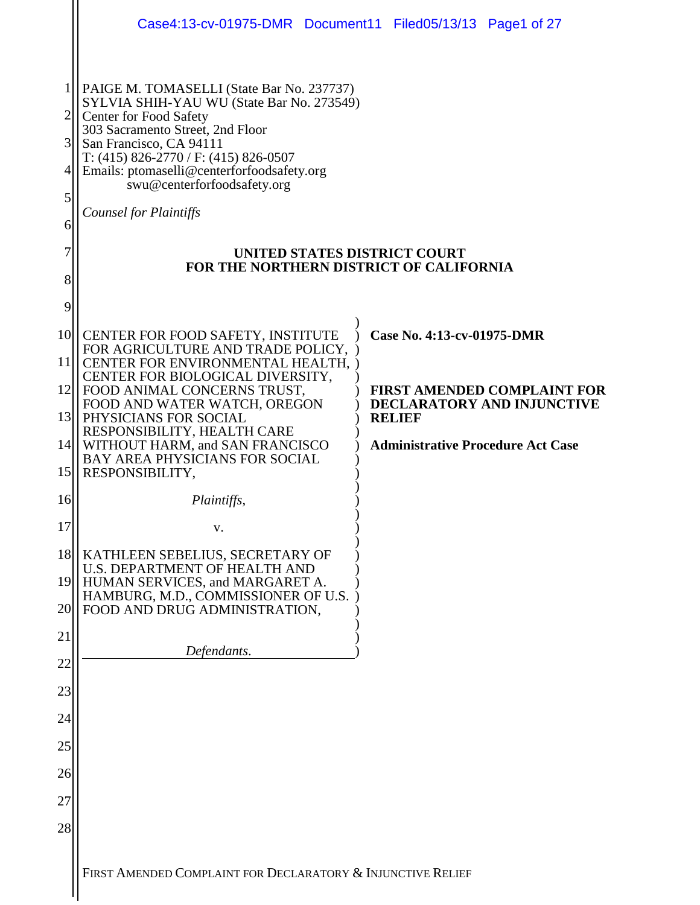|                                 | Case4:13-cv-01975-DMR Document11 Filed05/13/13 Page1 of 27                                                                                                                                                                                                                                                                                                                                                            |  |                                                                         |                                          |
|---------------------------------|-----------------------------------------------------------------------------------------------------------------------------------------------------------------------------------------------------------------------------------------------------------------------------------------------------------------------------------------------------------------------------------------------------------------------|--|-------------------------------------------------------------------------|------------------------------------------|
| 1<br>3<br>4<br>5<br>6<br>7<br>8 | PAIGE M. TOMASELLI (State Bar No. 237737)<br>SYLVIA SHIH-YAU WU (State Bar No. 273549)<br>Center for Food Safety<br>303 Sacramento Street, 2nd Floor<br>San Francisco, CA 94111<br>T: $(415)$ 826-2770 / F: $(415)$ 826-0507<br>Emails: ptomaselli@centerforfoodsafety.org<br>swu@centerforfoodsafety.org<br><b>Counsel for Plaintiffs</b><br>UNITED STATES DISTRICT COURT<br>FOR THE NORTHERN DISTRICT OF CALIFORNIA |  |                                                                         |                                          |
| 9<br>10 <sup>1</sup>            | CENTER FOR FOOD SAFETY, INSTITUTE<br>FOR AGRICULTURE AND TRADE POLICY,                                                                                                                                                                                                                                                                                                                                                |  | Case No. 4:13-cv-01975-DMR                                              |                                          |
| <sup>11</sup><br> 12            | CENTER FOR ENVIRONMENTAL HEALTH,<br>CENTER FOR BIOLOGICAL DIVERSITY,<br>FOOD ANIMAL CONCERNS TRUST,                                                                                                                                                                                                                                                                                                                   |  | <b>FIRST AMENDED COMPLAINT FOR</b><br><b>DECLARATORY AND INJUNCTIVE</b> |                                          |
| 13                              | FOOD AND WATER WATCH, OREGON<br>PHYSICIANS FOR SOCIAL                                                                                                                                                                                                                                                                                                                                                                 |  | <b>RELIEF</b>                                                           |                                          |
| 4                               | RESPONSIBILITY, HEALTH CARE<br>WITHOUT HARM, and SAN FRANCISCO<br><b>BAY AREA PHYSICIANS FOR SOCIAL</b>                                                                                                                                                                                                                                                                                                               |  |                                                                         | <b>Administrative Procedure Act Case</b> |
| 15                              | RESPONSIBILITY,                                                                                                                                                                                                                                                                                                                                                                                                       |  |                                                                         |                                          |
| 16                              | Plaintiffs,                                                                                                                                                                                                                                                                                                                                                                                                           |  |                                                                         |                                          |
| 17                              | V.                                                                                                                                                                                                                                                                                                                                                                                                                    |  |                                                                         |                                          |
| 19                              | 18<br>KATHLEEN SEBELIUS, SECRETARY OF<br><b>U.S. DEPARTMENT OF HEALTH AND</b><br>HUMAN SERVICES, and MARGARET A.                                                                                                                                                                                                                                                                                                      |  |                                                                         |                                          |
| 20                              | HAMBURG, M.D., COMMISSIONER OF U.S.<br>FOOD AND DRUG ADMINISTRATION,                                                                                                                                                                                                                                                                                                                                                  |  |                                                                         |                                          |
| 21                              |                                                                                                                                                                                                                                                                                                                                                                                                                       |  |                                                                         |                                          |
| 22                              | Defendants.                                                                                                                                                                                                                                                                                                                                                                                                           |  |                                                                         |                                          |
| 23                              |                                                                                                                                                                                                                                                                                                                                                                                                                       |  |                                                                         |                                          |
| 24                              |                                                                                                                                                                                                                                                                                                                                                                                                                       |  |                                                                         |                                          |
| 25                              |                                                                                                                                                                                                                                                                                                                                                                                                                       |  |                                                                         |                                          |
| 26                              |                                                                                                                                                                                                                                                                                                                                                                                                                       |  |                                                                         |                                          |
| 27                              |                                                                                                                                                                                                                                                                                                                                                                                                                       |  |                                                                         |                                          |
| 28                              |                                                                                                                                                                                                                                                                                                                                                                                                                       |  |                                                                         |                                          |
|                                 | FIRST AMENDED COMPLAINT FOR DECLARATORY & INJUNCTIVE RELIEF                                                                                                                                                                                                                                                                                                                                                           |  |                                                                         |                                          |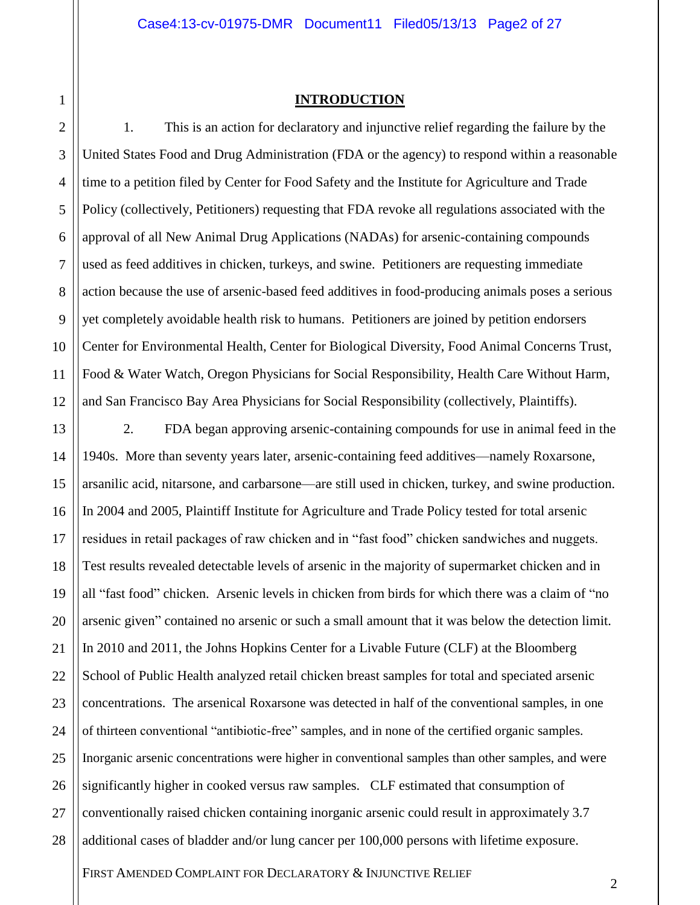1 2 3

4

5

6

7

8

9

10

11

12

## **INTRODUCTION**

1. This is an action for declaratory and injunctive relief regarding the failure by the United States Food and Drug Administration (FDA or the agency) to respond within a reasonable time to a petition filed by Center for Food Safety and the Institute for Agriculture and Trade Policy (collectively, Petitioners) requesting that FDA revoke all regulations associated with the approval of all New Animal Drug Applications (NADAs) for arsenic-containing compounds used as feed additives in chicken, turkeys, and swine. Petitioners are requesting immediate action because the use of arsenic-based feed additives in food-producing animals poses a serious yet completely avoidable health risk to humans. Petitioners are joined by petition endorsers Center for Environmental Health, Center for Biological Diversity, Food Animal Concerns Trust, Food & Water Watch, Oregon Physicians for Social Responsibility, Health Care Without Harm, and San Francisco Bay Area Physicians for Social Responsibility (collectively, Plaintiffs).

13 14 15 16 17 18 19 20 21 22 23 24 25 26 27 28 2. FDA began approving arsenic-containing compounds for use in animal feed in the 1940s. More than seventy years later, arsenic-containing feed additives—namely Roxarsone, arsanilic acid, nitarsone, and carbarsone—are still used in chicken, turkey, and swine production. In 2004 and 2005, Plaintiff Institute for Agriculture and Trade Policy tested for total arsenic residues in retail packages of raw chicken and in "fast food" chicken sandwiches and nuggets. Test results revealed detectable levels of arsenic in the majority of supermarket chicken and in all "fast food" chicken. Arsenic levels in chicken from birds for which there was a claim of "no arsenic given" contained no arsenic or such a small amount that it was below the detection limit. In 2010 and 2011, the Johns Hopkins Center for a Livable Future (CLF) at the Bloomberg School of Public Health analyzed retail chicken breast samples for total and speciated arsenic concentrations. The arsenical Roxarsone was detected in half of the conventional samples, in one of thirteen conventional "antibiotic-free" samples, and in none of the certified organic samples. Inorganic arsenic concentrations were higher in conventional samples than other samples, and were significantly higher in cooked versus raw samples. CLF estimated that consumption of conventionally raised chicken containing inorganic arsenic could result in approximately 3.7 additional cases of bladder and/or lung cancer per 100,000 persons with lifetime exposure.

FIRST AMENDED COMPLAINT FOR DECLARATORY & INJUNCTIVE RELIEF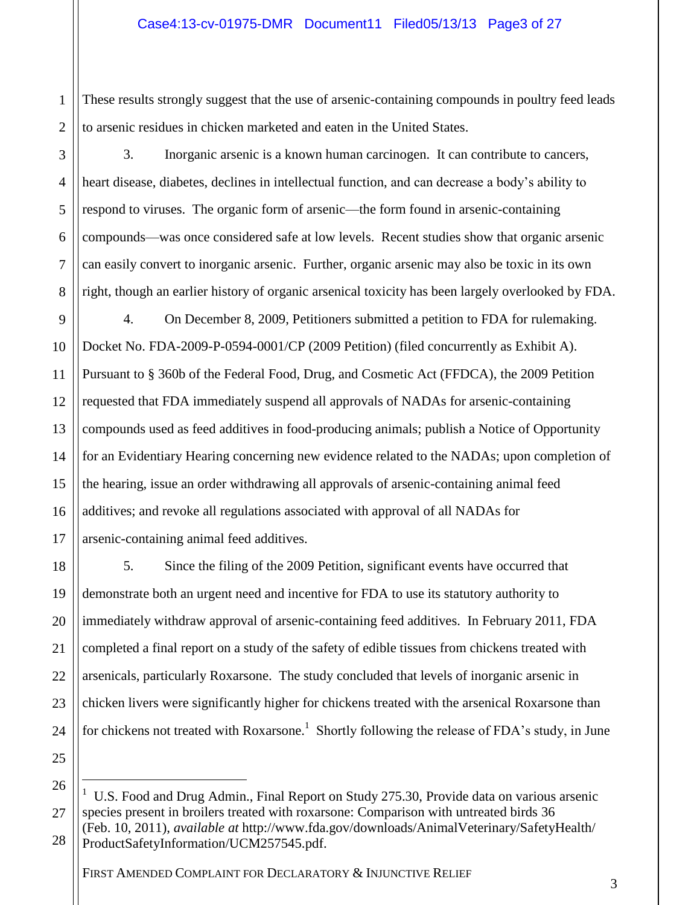2 These results strongly suggest that the use of arsenic-containing compounds in poultry feed leads to arsenic residues in chicken marketed and eaten in the United States.

3

4

5

6

7

8

1

3. Inorganic arsenic is a [known human carcinogen.](http://cfpub.epa.gov/ncea/cfm/recordisplay.cfm?deid=219111) It can contribute to cancers, heart disease, diabetes, declines in intellectual function, and can decrease a body's ability to respond to viruses. The organic form of arsenic—the form found in arsenic-containing compounds—was once considered safe at low levels. Recent studies show that organic arsenic can easily convert to inorganic arsenic. Further, organic arsenic may also be toxic in its own right, though an earlier history of organic arsenical toxicity has been largely overlooked by FDA.

9 10 11 12 13 14 15 16 17 4. On December 8, 2009, Petitioners submitted a petition to FDA for rulemaking. Docket No. FDA-2009-P-0594-0001/CP (2009 Petition) (filed concurrently as Exhibit A). Pursuant to § 360b of the Federal Food, Drug, and Cosmetic Act (FFDCA), the 2009 Petition requested that FDA immediately suspend all approvals of NADAs for arsenic-containing compounds used as feed additives in food-producing animals; publish a Notice of Opportunity for an Evidentiary Hearing concerning new evidence related to the NADAs; upon completion of the hearing, issue an order withdrawing all approvals of arsenic-containing animal feed additives; and revoke all regulations associated with approval of all NADAs for arsenic-containing animal feed additives.

18 19 20 22 23 24 5. Since the filing of the 2009 Petition, significant events have occurred that demonstrate both an urgent need and incentive for FDA to use its statutory authority to immediately withdraw approval of arsenic-containing feed additives. In February 2011, FDA completed a final report on a study of the safety of edible tissues from chickens treated with arsenicals, particularly Roxarsone. The study concluded that levels of inorganic arsenic in chicken livers were significantly higher for chickens treated with the arsenical Roxarsone than for chickens not treated with Roxarsone.<sup>1</sup> Shortly following the release of FDA's study, in June

25 26

 $\overline{a}$ 

21

<sup>27</sup> U.S. Food and Drug Admin., Final Report on Study 275.30, Provide data on various arsenic species present in broilers treated with roxarsone: Comparison with untreated birds 36 (Feb. 10, 2011), *available at* http://www.fda.gov/downloads/AnimalVeterinary/SafetyHealth/

<sup>28</sup> ProductSafetyInformation/UCM257545.pdf.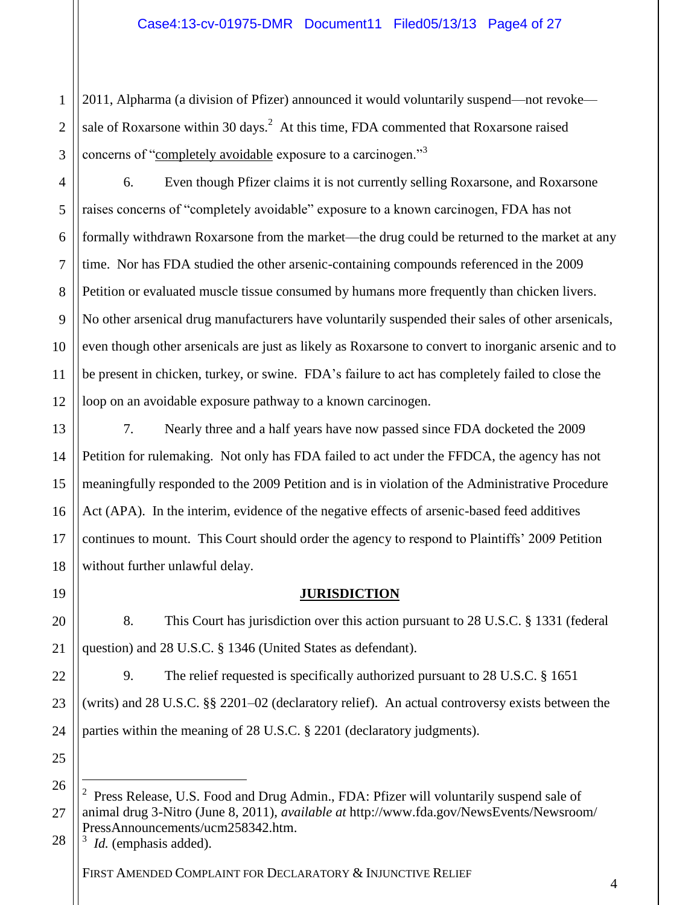1 2 3 2011, Alpharma (a division of Pfizer) announced it would voluntarily suspend—not revoke sale of Roxarsone within 30 days.<sup>2</sup> At this time, FDA commented that Roxarsone raised concerns of "completely avoidable exposure to a carcinogen."<sup>3</sup>

4 5 6 7 8 9 10 11 12 6. Even though Pfizer claims it is not currently selling Roxarsone, and Roxarsone raises concerns of "completely avoidable" exposure to a known carcinogen, FDA has not formally withdrawn Roxarsone from the market—the drug could be returned to the market at any time. Nor has FDA studied the other arsenic-containing compounds referenced in the 2009 Petition or evaluated muscle tissue consumed by humans more frequently than chicken livers. No other arsenical drug manufacturers have voluntarily suspended their sales of other arsenicals, even though other arsenicals are just as likely as Roxarsone to convert to inorganic arsenic and to be present in chicken, turkey, or swine. FDA's failure to act has completely failed to close the loop on an avoidable exposure pathway to a known carcinogen.

7. Nearly three and a half years have now passed since FDA docketed the 2009 Petition for rulemaking. Not only has FDA failed to act under the FFDCA, the agency has not meaningfully responded to the 2009 Petition and is in violation of the Administrative Procedure Act (APA). In the interim, evidence of the negative effects of arsenic-based feed additives continues to mount. This Court should order the agency to respond to Plaintiffs' 2009 Petition without further unlawful delay.

19

13

14

15

16

17

18

20

21

22

23

24

## **JURISDICTION**

8. This Court has jurisdiction over this action pursuant to 28 U.S.C. § 1331 (federal question) and 28 U.S.C. § 1346 (United States as defendant).

9. The relief requested is specifically authorized pursuant to 28 U.S.C. § 1651 (writs) and 28 U.S.C. §§ 2201–02 (declaratory relief). An actual controversy exists between the parties within the meaning of 28 U.S.C. § 2201 (declaratory judgments).

25 26

 $\overline{a}$ 

27

28 3 *Id.* (emphasis added).

<sup>2</sup> Press Release, U.S. Food and Drug Admin., FDA: Pfizer will voluntarily suspend sale of animal drug 3-Nitro (June 8, 2011), *available at* http://www.fda.gov/NewsEvents/Newsroom/ PressAnnouncements/ucm258342.htm.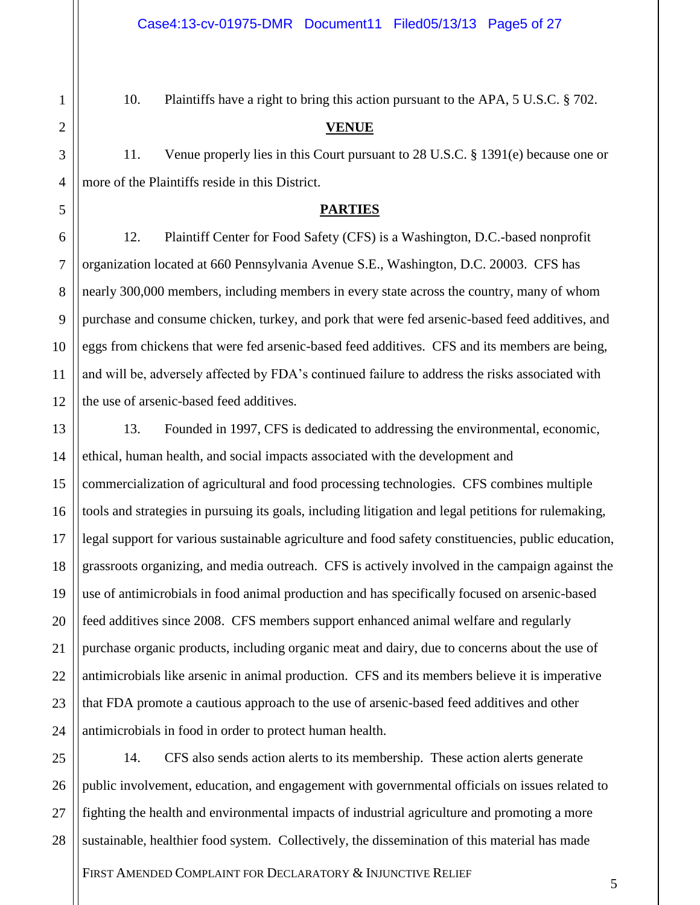10. Plaintiffs have a right to bring this action pursuant to the APA, 5 U.S.C. § 702.

## **VENUE**

11. Venue properly lies in this Court pursuant to 28 U.S.C. § 1391(e) because one or more of the Plaintiffs reside in this District.

## **PARTIES**

12. Plaintiff Center for Food Safety (CFS) is a Washington, D.C.-based nonprofit organization located at 660 Pennsylvania Avenue S.E., Washington, D.C. 20003. CFS has nearly 300,000 members, including members in every state across the country, many of whom purchase and consume chicken, turkey, and pork that were fed arsenic-based feed additives, and eggs from chickens that were fed arsenic-based feed additives. CFS and its members are being, and will be, adversely affected by FDA's continued failure to address the risks associated with the use of arsenic-based feed additives.

13. Founded in 1997, CFS is dedicated to addressing the environmental, economic, ethical, human health, and social impacts associated with the development and commercialization of agricultural and food processing technologies. CFS combines multiple tools and strategies in pursuing its goals, including litigation and legal petitions for rulemaking, legal support for various sustainable agriculture and food safety constituencies, public education, grassroots organizing, and media outreach. CFS is actively involved in the campaign against the use of antimicrobials in food animal production and has specifically focused on arsenic-based feed additives since 2008. CFS members support enhanced animal welfare and regularly purchase organic products, including organic meat and dairy, due to concerns about the use of antimicrobials like arsenic in animal production. CFS and its members believe it is imperative that FDA promote a cautious approach to the use of arsenic-based feed additives and other antimicrobials in food in order to protect human health.

14. CFS also sends action alerts to its membership. These action alerts generate public involvement, education, and engagement with governmental officials on issues related to fighting the health and environmental impacts of industrial agriculture and promoting a more sustainable, healthier food system. Collectively, the dissemination of this material has made

FIRST AMENDED COMPLAINT FOR DECLARATORY & INJUNCTIVE RELIEF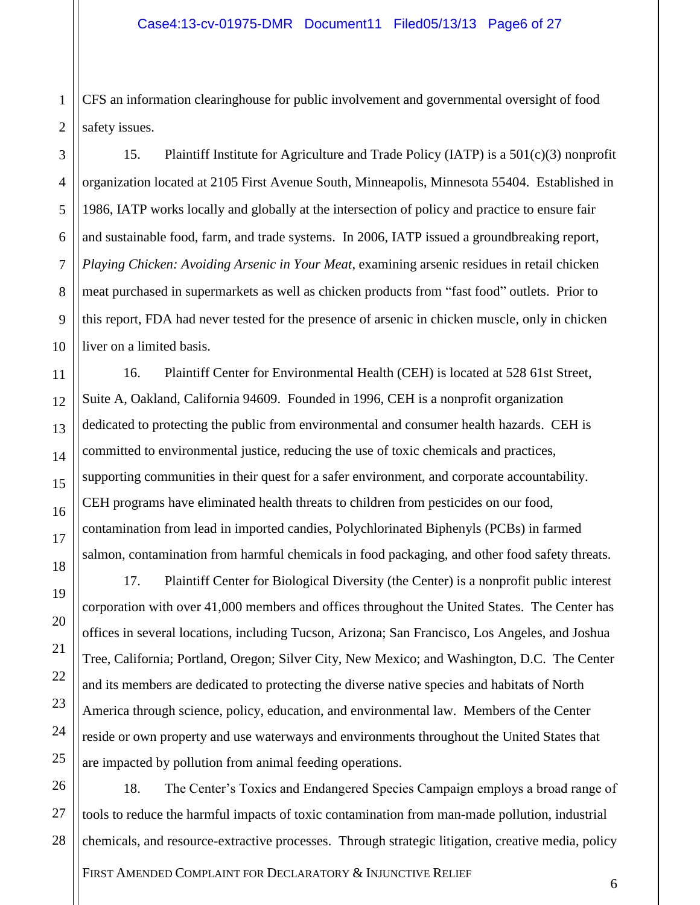1 2 CFS an information clearinghouse for public involvement and governmental oversight of food safety issues.

3

4

5

6

7

8

9

10

11

12

13

14

15

16

17

18

19

20

21

22

23

24

25

15. Plaintiff Institute for Agriculture and Trade Policy (IATP) is a 501(c)(3) nonprofit organization located at 2105 First Avenue South, Minneapolis, Minnesota 55404. Established in 1986, IATP works locally and globally at the intersection of policy and practice to ensure fair and sustainable food, farm, and trade systems. In 2006, IATP issued a groundbreaking report, *Playing Chicken: Avoiding Arsenic in Your Meat*, examining arsenic residues in retail chicken meat purchased in supermarkets as well as chicken products from "fast food" outlets. Prior to this report, FDA had never tested for the presence of arsenic in chicken muscle, only in chicken liver on a limited basis.

16. Plaintiff Center for Environmental Health (CEH) is located at 528 61st Street, Suite A, Oakland, California 94609. Founded in 1996, CEH is a nonprofit organization dedicated to protecting the public from environmental and consumer health hazards. CEH is committed to environmental justice, reducing the use of toxic chemicals and practices, supporting communities in their quest for a safer environment, and corporate accountability. CEH programs have eliminated health threats to children from pesticides on our food, contamination from lead in imported candies, Polychlorinated Biphenyls (PCBs) in farmed salmon, contamination from harmful chemicals in food packaging, and other food safety threats.

17. Plaintiff Center for Biological Diversity (the Center) is a nonprofit public interest corporation with over 41,000 members and offices throughout the United States. The Center has offices in several locations, including Tucson, Arizona; San Francisco, Los Angeles, and Joshua Tree, California; Portland, Oregon; Silver City, New Mexico; and Washington, D.C. The Center and its members are dedicated to protecting the diverse native species and habitats of North America through science, policy, education, and environmental law. Members of the Center reside or own property and use waterways and environments throughout the United States that are impacted by pollution from animal feeding operations.

26 27 28 18. The Center's Toxics and Endangered Species Campaign employs a broad range of tools to reduce the harmful impacts of toxic contamination from man-made pollution, industrial chemicals, and resource-extractive processes. Through strategic litigation, creative media, policy

FIRST AMENDED COMPLAINT FOR DECLARATORY & INJUNCTIVE RELIEF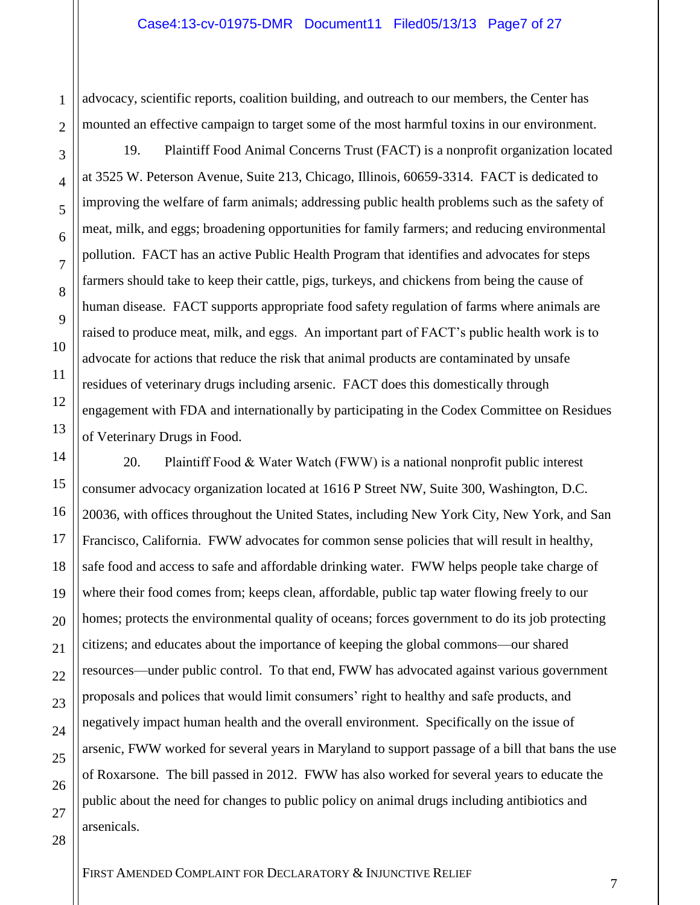advocacy, scientific reports, coalition building, and outreach to our members, the Center has mounted an effective campaign to target some of the most harmful toxins in our environment.

19. Plaintiff Food Animal Concerns Trust (FACT) is a nonprofit organization located at 3525 W. Peterson Avenue, Suite 213, Chicago, Illinois, 60659-3314. FACT is dedicated to improving the welfare of farm animals; addressing public health problems such as the safety of meat, milk, and eggs; broadening opportunities for family farmers; and reducing environmental pollution. FACT has an active Public Health Program that identifies and advocates for steps farmers should take to keep their cattle, pigs, turkeys, and chickens from being the cause of human disease. FACT supports appropriate food safety regulation of farms where animals are raised to produce meat, milk, and eggs. An important part of FACT's public health work is to advocate for actions that reduce the risk that animal products are contaminated by unsafe residues of veterinary drugs including arsenic. FACT does this domestically through engagement with FDA and internationally by participating in the Codex Committee on Residues of Veterinary Drugs in Food.

20. Plaintiff Food  $& Water Watch (FWW)$  is a national nonprofit public interest consumer advocacy organization located at 1616 P Street NW, Suite 300, Washington, D.C. 20036, with offices throughout the United States, including New York City, New York, and San Francisco, California. FWW advocates for common sense policies that will result in healthy, safe food and access to safe and affordable drinking water. FWW helps people take charge of where their food comes from; keeps clean, affordable, public tap water flowing freely to our homes; protects the environmental quality of oceans; forces government to do its job protecting citizens; and educates about the importance of keeping the global commons—our shared resources—under public control. To that end, FWW has advocated against various government proposals and polices that would limit consumers' right to healthy and safe products, and negatively impact human health and the overall environment. Specifically on the issue of arsenic, FWW worked for several years in Maryland to support passage of a bill that bans the use of Roxarsone. The bill passed in 2012. FWW has also worked for several years to educate the public about the need for changes to public policy on animal drugs including antibiotics and arsenicals.

1

2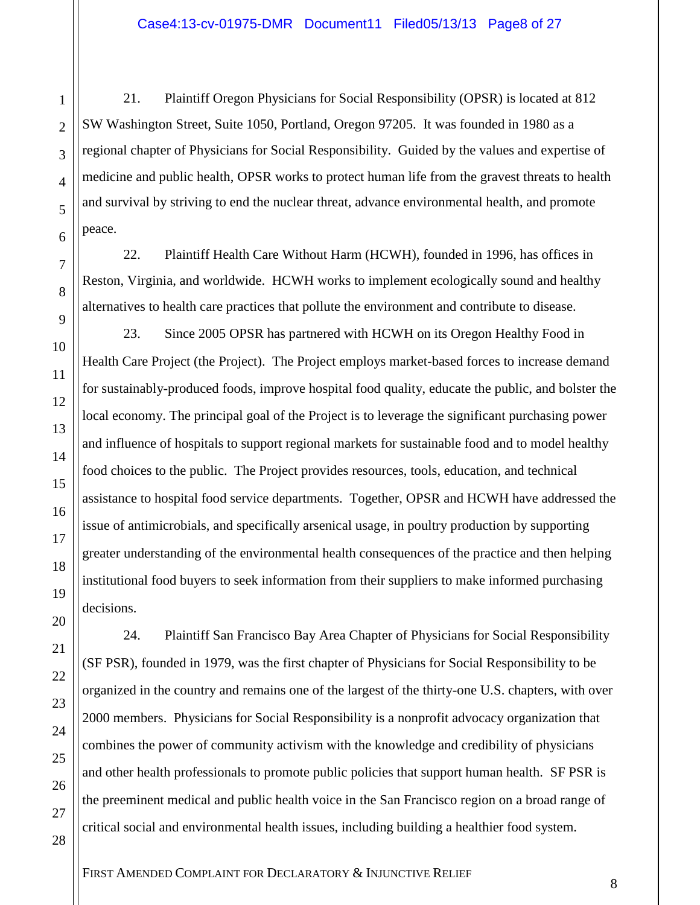21. Plaintiff Oregon Physicians for Social Responsibility (OPSR) is located at 812 SW Washington Street, Suite 1050, Portland, Oregon 97205. It was founded in 1980 as a regional chapter of Physicians for Social Responsibility. Guided by the values and expertise of medicine and public health, OPSR works to protect human life from the gravest threats to health and survival by striving to end the nuclear threat, advance environmental health, and promote peace.

22. Plaintiff Health Care Without Harm (HCWH), founded in 1996, has offices in Reston, Virginia, and worldwide. HCWH works to implement ecologically sound and healthy alternatives to health care practices that pollute the environment and contribute to disease.

23. Since 2005 OPSR has partnered with HCWH on its Oregon Healthy Food in Health Care Project (the Project). The Project employs market-based forces to increase demand for sustainably-produced foods, improve hospital food quality, educate the public, and bolster the local economy. The principal goal of the Project is to leverage the significant purchasing power and influence of hospitals to support regional markets for sustainable food and to model healthy food choices to the public. The Project provides resources, tools, education, and technical assistance to hospital food service departments. Together, OPSR and HCWH have addressed the issue of antimicrobials, and specifically arsenical usage, in poultry production by supporting greater understanding of the environmental health consequences of the practice and then helping institutional food buyers to seek information from their suppliers to make informed purchasing decisions.

24. Plaintiff San Francisco Bay Area Chapter of Physicians for Social Responsibility (SF PSR), founded in 1979, was the first chapter of Physicians for Social Responsibility to be organized in the country and remains one of the largest of the thirty-one U.S. chapters, with over 2000 members. Physicians for Social Responsibility is a nonprofit advocacy organization that combines the power of community activism with the knowledge and credibility of physicians and other health professionals to promote public policies that support human health. SF PSR is the preeminent medical and public health voice in the San Francisco region on a broad range of critical social and environmental health issues, including building a healthier food system.

1

2

3

4

5

6

7

8

9

10

11

12

13

14

15

16

17

18

19

20

21

22

23

24

25

26

27

28

FIRST AMENDED COMPLAINT FOR DECLARATORY & INJUNCTIVE RELIEF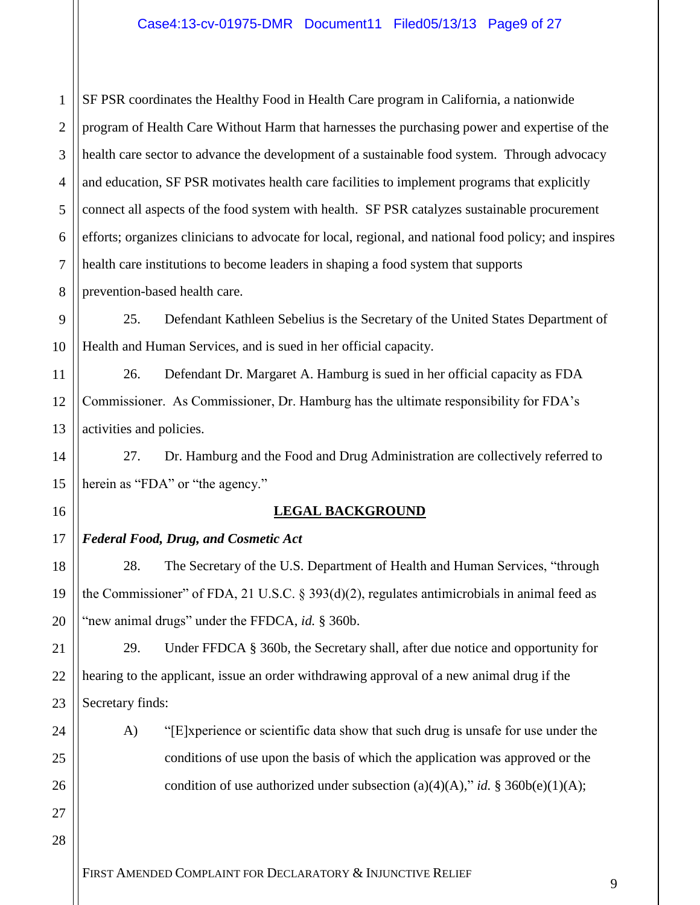1 2 3 4 5 6 7 8 SF PSR coordinates the Healthy Food in Health Care program in California, a nationwide program of Health Care Without Harm that harnesses the purchasing power and expertise of the health care sector to advance the development of a sustainable food system. Through advocacy and education, SF PSR motivates health care facilities to implement programs that explicitly connect all aspects of the food system with health. SF PSR catalyzes sustainable procurement efforts; organizes clinicians to advocate for local, regional, and national food policy; and inspires health care institutions to become leaders in shaping a food system that supports prevention-based health care.

9 10 25. Defendant Kathleen Sebelius is the Secretary of the United States Department of Health and Human Services, and is sued in her official capacity.

11 12 13 26. Defendant Dr. Margaret A. Hamburg is sued in her official capacity as FDA Commissioner. As Commissioner, Dr. Hamburg has the ultimate responsibility for FDA's activities and policies.

27. Dr. Hamburg and the Food and Drug Administration are collectively referred to herein as "FDA" or "the agency."

## 16

18

19

20

21

22

23

24

25

26

27

14

15

## **LEGAL BACKGROUND**

#### 17 *Federal Food, Drug, and Cosmetic Act*

28. The Secretary of the U.S. Department of Health and Human Services, "through the Commissioner" of FDA, 21 U.S.C. § 393(d)(2), regulates antimicrobials in animal feed as "new animal drugs" under the FFDCA, *id.* § 360b.

29. Under FFDCA § 360b, the Secretary shall, after due notice and opportunity for hearing to the applicant, issue an order withdrawing approval of a new animal drug if the Secretary finds:

A) "[E]xperience or scientific data show that such drug is unsafe for use under the conditions of use upon the basis of which the application was approved or the condition of use authorized under subsection (a)(4)(A)," *id.* § 360b(e)(1)(A);

28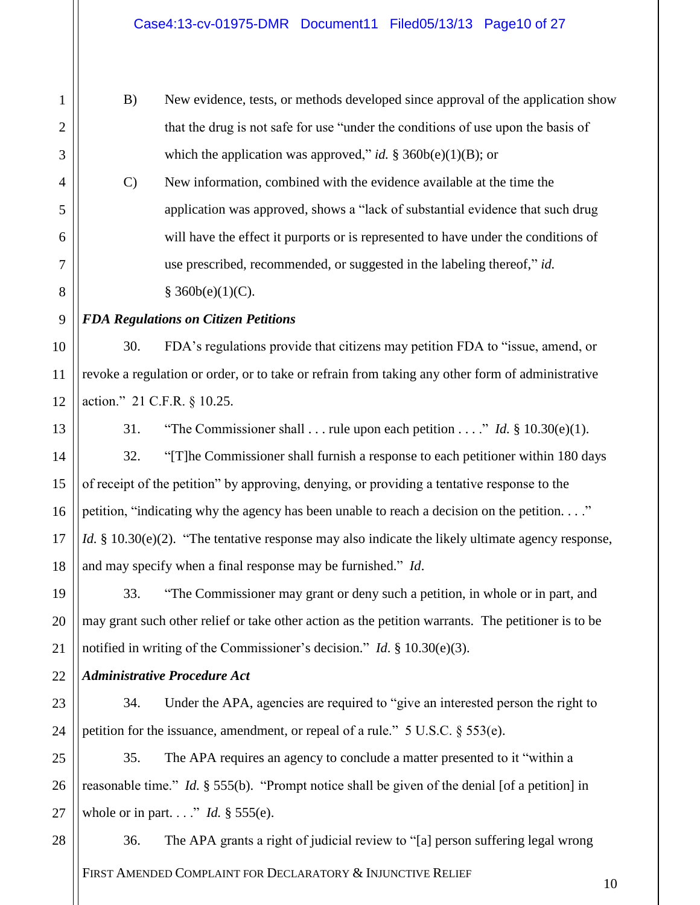B) New evidence, tests, or methods developed since approval of the application show that the drug is not safe for use "under the conditions of use upon the basis of which the application was approved," *id.* § 360 $b(e)(1)(B)$ ; or

C) New information, combined with the evidence available at the time the application was approved, shows a "lack of substantial evidence that such drug will have the effect it purports or is represented to have under the conditions of use prescribed, recommended, or suggested in the labeling thereof," *id.*  $§$  360b(e)(1)(C).

*FDA Regulations on Citizen Petitions*

30. FDA's regulations provide that citizens may petition FDA to "issue, amend, or revoke a regulation or order, or to take or refrain from taking any other form of administrative action." 21 C.F.R. § 10.25.

1

2

3

4

5

6

7

8

9

10

11

12

13

14

15

16

17

18

24

28

31. "The Commissioner shall  $\ldots$  rule upon each petition  $\ldots$ ." *Id.* § 10.30(e)(1).

32. "[T]he Commissioner shall furnish a response to each petitioner within 180 days of receipt of the petition" by approving, denying, or providing a tentative response to the petition, "indicating why the agency has been unable to reach a decision on the petition. . . ." *Id.* § 10.30(e)(2). "The tentative response may also indicate the likely ultimate agency response, and may specify when a final response may be furnished." *Id*.

19 20 21 33. "The Commissioner may grant or deny such a petition, in whole or in part, and may grant such other relief or take other action as the petition warrants. The petitioner is to be notified in writing of the Commissioner's decision." *Id*. § 10.30(e)(3).

22 *Administrative Procedure Act*

23 34. Under the APA, agencies are required to "give an interested person the right to petition for the issuance, amendment, or repeal of a rule." 5 U.S.C. § 553(e).

25 26 27 35. The APA requires an agency to conclude a matter presented to it "within a reasonable time." *Id.* § 555(b). "Prompt notice shall be given of the denial [of a petition] in whole or in part. . . ." *Id.* § 555(e).

FIRST AMENDED COMPLAINT FOR DECLARATORY & INJUNCTIVE RELIEF 36. The APA grants a right of judicial review to "[a] person suffering legal wrong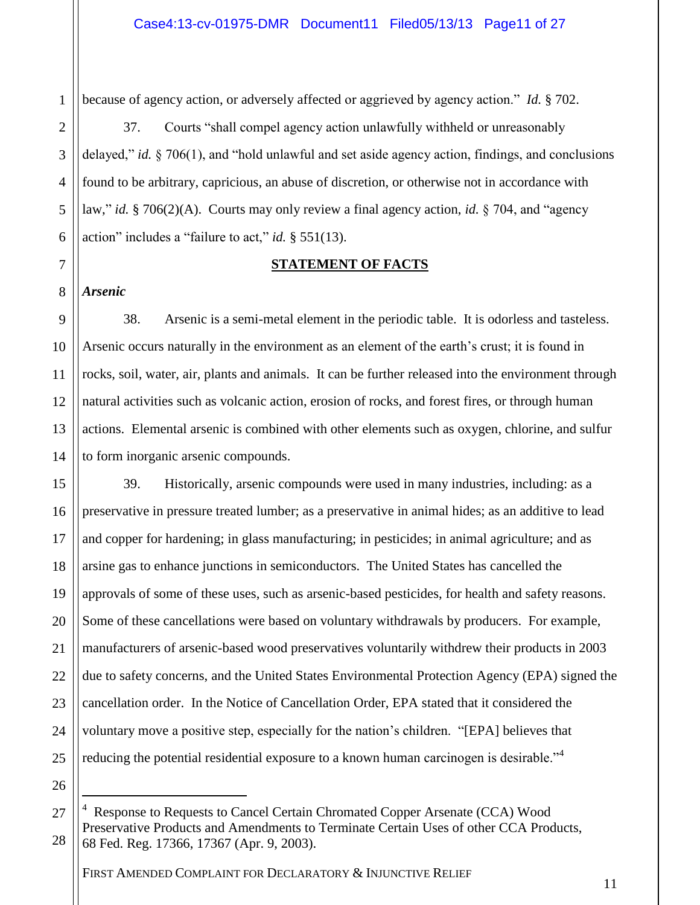because of agency action, or adversely affected or aggrieved by agency action." *Id.* § 702.

37. Courts "shall compel agency action unlawfully withheld or unreasonably delayed," *id.* § 706(1), and "hold unlawful and set aside agency action, findings, and conclusions found to be arbitrary, capricious, an abuse of discretion, or otherwise not in accordance with law," *id.* § 706(2)(A). Courts may only review a final agency action, *id.* § 704, and "agency action" includes a "failure to act," *id.* § 551(13).

## **STATEMENT OF FACTS**

*Arsenic*

38. Arsenic is a semi-metal element in the periodic table. It is odorless and tasteless. Arsenic occurs naturally in the environment as an element of the earth's crust; it is found in rocks, soil, water, air, plants and animals. It can be further released into the environment through natural activities such as volcanic action, erosion of rocks, and forest fires, or through human actions. Elemental arsenic is combined with other elements such as oxygen, chlorine, and sulfur to form inorganic arsenic compounds.

39. Historically, arsenic compounds were used in many industries, including: as a preservative in pressure treated lumber; as a preservative in animal hides; as an additive to lead and copper for hardening; in glass manufacturing; in pesticides; in animal agriculture; and as arsine gas to enhance junctions in semiconductors. The United States has cancelled the approvals of some of these uses, such as arsenic-based pesticides, for health and safety reasons. Some of these cancellations were based on voluntary withdrawals by producers. For example, manufacturers of arsenic-based wood preservatives voluntarily withdrew their products in 2003 due to safety concerns, and the United States Environmental Protection Agency (EPA) signed the cancellation order. In the Notice of Cancellation Order, EPA stated that it considered the voluntary move a positive step, especially for the nation's children. "[EPA] believes that reducing the potential residential exposure to a known human carcinogen is desirable.<sup>34</sup>

26 27

 $\overline{a}$ 

28

<sup>4</sup> Response to Requests to Cancel Certain Chromated Copper Arsenate (CCA) Wood Preservative Products and Amendments to Terminate Certain Uses of other CCA Products, 68 Fed. Reg. 17366, 17367 (Apr. 9, 2003).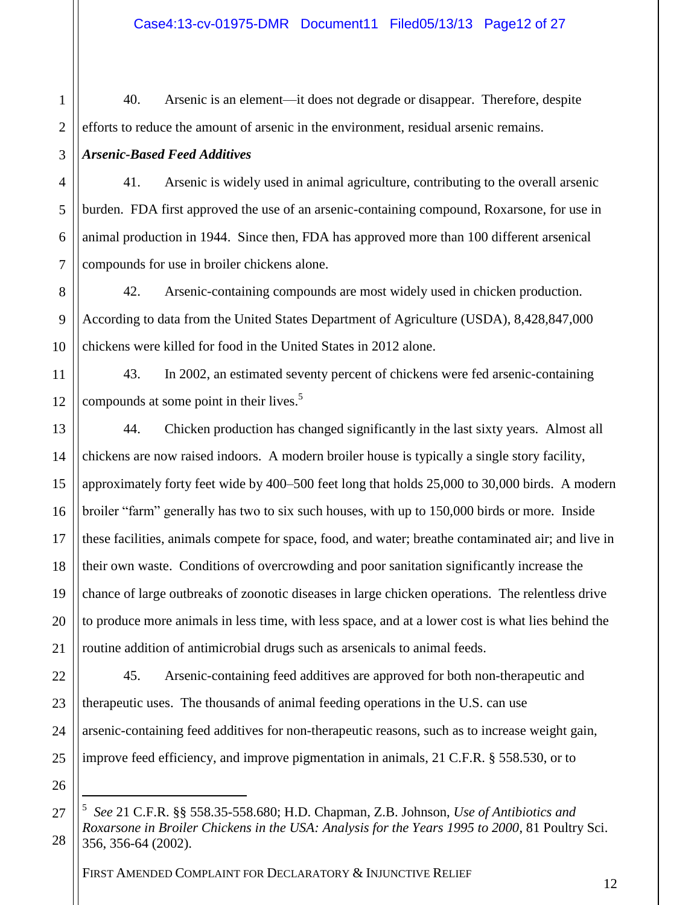40. Arsenic is an element—it does not degrade or disappear. Therefore, despite efforts to reduce the amount of arsenic in the environment, residual arsenic remains.

3 *Arsenic-Based Feed Additives*

1

2

4

5

6

7

13

14

15

16

17

18

19

20

21

41. Arsenic is widely used in animal agriculture, contributing to the overall arsenic burden. FDA first approved the use of an arsenic-containing compound, Roxarsone, for use in animal production in 1944. Since then, FDA has approved more than 100 different arsenical compounds for use in broiler chickens alone.

8 9 10 42. Arsenic-containing compounds are most widely used in chicken production. According to data from the United States Department of Agriculture (USDA), 8,428,847,000 chickens were killed for food in the United States in 2012 alone.

11 12 43. In 2002, an estimated seventy percent of chickens were fed arsenic-containing compounds at some point in their lives.<sup>5</sup>

44. Chicken production has changed significantly in the last sixty years. Almost all chickens are now raised indoors. A modern broiler house is typically a single story facility, approximately forty feet wide by 400–500 feet long that holds 25,000 to 30,000 birds. A modern broiler "farm" generally has two to six such houses, with up to 150,000 birds or more. Inside these facilities, animals compete for space, food, and water; breathe contaminated air; and live in their own waste. Conditions of overcrowding and poor sanitation significantly increase the chance of large outbreaks of zoonotic diseases in large chicken operations. The relentless drive to produce more animals in less time, with less space, and at a lower cost is what lies behind the routine addition of antimicrobial drugs such as arsenicals to animal feeds.

22 23 24 25 45. Arsenic-containing feed additives are approved for both non-therapeutic and therapeutic uses. The thousands of animal feeding operations in the U.S. can use arsenic-containing feed additives for non-therapeutic reasons, such as to increase weight gain, improve feed efficiency, and improve pigmentation in animals, 21 C.F.R. § 558.530, or to

26 27

 $\overline{a}$ 

28

<sup>5</sup> *See* 21 C.F.R. §§ 558.35-558.680; H.D. Chapman, Z.B. Johnson, *Use of Antibiotics and Roxarsone in Broiler Chickens in the USA: Analysis for the Years 1995 to 2000*, 81 Poultry Sci. 356, 356-64 (2002).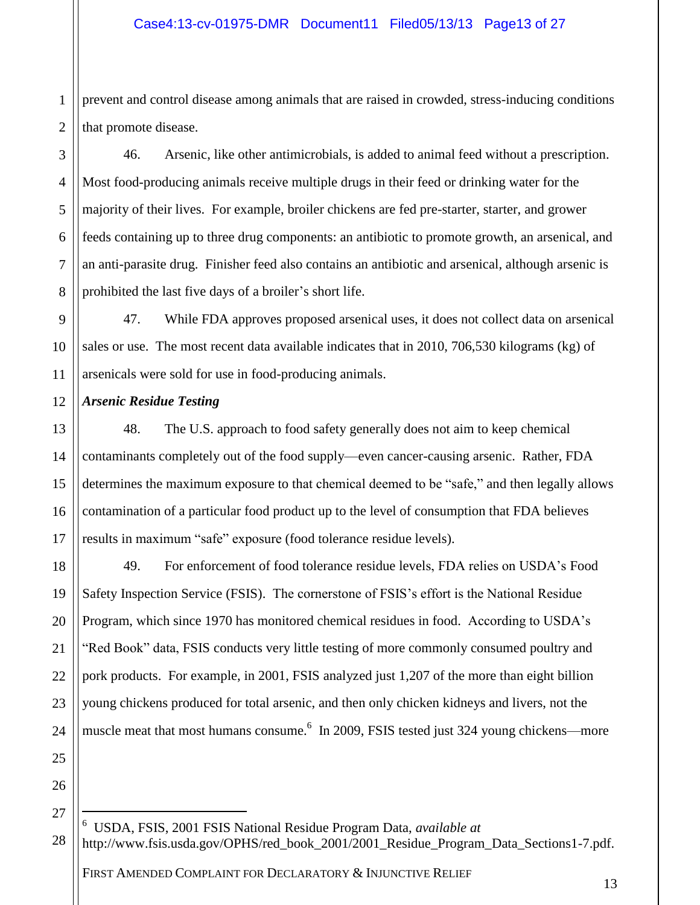1 2 prevent and control disease among animals that are raised in crowded, stress-inducing conditions that promote disease.

46. Arsenic, like other antimicrobials, is added to animal feed without a prescription. Most food-producing animals receive multiple drugs in their feed or drinking water for the majority of their lives. For example, broiler chickens are fed pre-starter, starter, and grower feeds containing up to three drug components: an antibiotic to promote growth, an arsenical, and an anti-parasite drug. Finisher feed also contains an antibiotic and arsenical, although arsenic is prohibited the last five days of a broiler's short life.

9 10 11 47. While FDA approves proposed arsenical uses, it does not collect data on arsenical sales or use. The most recent data available indicates that in 2010, 706,530 kilograms (kg) of arsenicals were sold for use in food-producing animals.

12 *Arsenic Residue Testing* 

3

4

5

6

7

8

13

14

15

16

17

18

20

21

22

23

24

25

48. The U.S. approach to food safety generally does not aim to keep chemical contaminants completely out of the food supply—even cancer-causing arsenic. Rather, FDA determines the maximum exposure to that chemical deemed to be "safe," and then legally allows contamination of a particular food product up to the level of consumption that FDA believes results in maximum "safe" exposure (food tolerance residue levels).

19 49. For enforcement of food tolerance residue levels, FDA relies on USDA's Food Safety Inspection Service (FSIS). The cornerstone of FSIS's effort is the National Residue Program, which since 1970 has monitored chemical residues in food. According to USDA's "Red Book" data, FSIS conducts very little testing of more commonly consumed poultry and pork products. For example, in 2001, FSIS analyzed just 1,207 of the more than eight billion young chickens produced for total arsenic, and then only chicken kidneys and livers, not the muscle meat that most humans consume.<sup>6</sup> In 2009, FSIS tested just 324 young chickens—more

26 27

 $\overline{a}$ 

28 6 USDA, FSIS, 2001 FSIS National Residue Program Data, *available at*  http://www.fsis.usda.gov/OPHS/red\_book\_2001/2001\_Residue\_Program\_Data\_Sections1-7.pdf.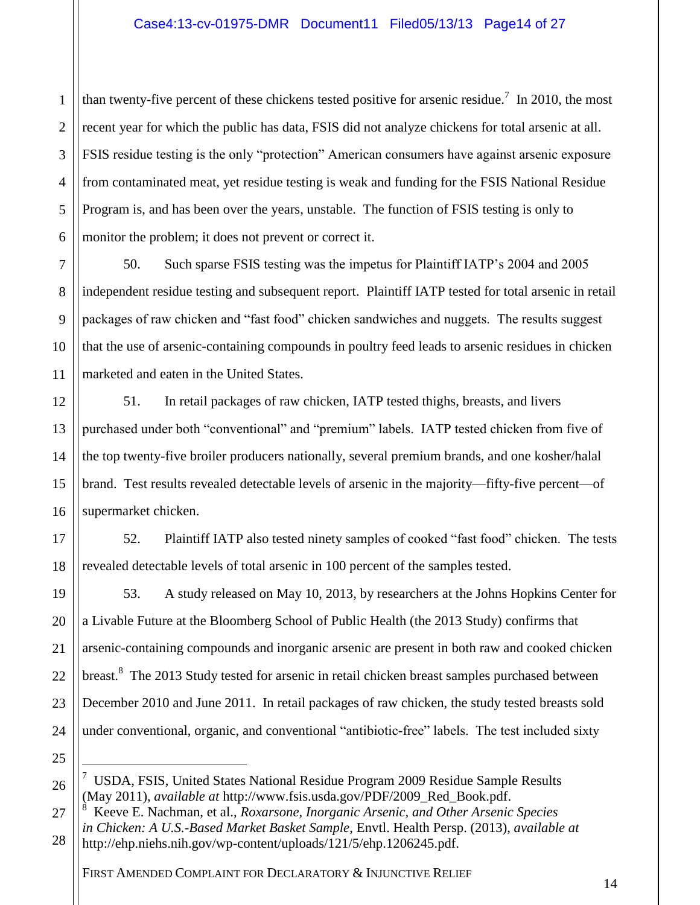2 3 4 5 6 than twenty-five percent of these chickens tested positive for arsenic residue.<sup>7</sup> In 2010, the most recent year for which the public has data, FSIS did not analyze chickens for total arsenic at all. FSIS residue testing is the only "protection" American consumers have against arsenic exposure from contaminated meat, yet residue testing is weak and funding for the FSIS National Residue Program is, and has been over the years, unstable. The function of FSIS testing is only to monitor the problem; it does not prevent or correct it.

10 11 50. Such sparse FSIS testing was the impetus for Plaintiff IATP's 2004 and 2005 independent residue testing and subsequent report. Plaintiff IATP tested for total arsenic in retail packages of raw chicken and "fast food" chicken sandwiches and nuggets. The results suggest that the use of arsenic-containing compounds in poultry feed leads to arsenic residues in chicken marketed and eaten in the United States.

51. In retail packages of raw chicken, IATP tested thighs, breasts, and livers purchased under both "conventional" and "premium" labels. IATP tested chicken from five of the top twenty-five broiler producers nationally, several premium brands, and one kosher/halal brand. Test results revealed detectable levels of arsenic in the majority—fifty-five percent—of supermarket chicken.

52. Plaintiff IATP also tested ninety samples of cooked "fast food" chicken. The tests revealed detectable levels of total arsenic in 100 percent of the samples tested.

53. A study released on May 10, 2013, by researchers at the Johns Hopkins Center for a Livable Future at the Bloomberg School of Public Health (the 2013 Study) confirms that arsenic-containing compounds and inorganic arsenic are present in both raw and cooked chicken breast.<sup>8</sup> The 2013 Study tested for arsenic in retail chicken breast samples purchased between December 2010 and June 2011. In retail packages of raw chicken, the study tested breasts sold under conventional, organic, and conventional "antibiotic-free" labels. The test included sixty

25

 $\overline{a}$ 

26

1

7

8

9

12

13

14

15

16

17

18

19

20

21

22

23

24

<sup>&</sup>lt;sup>7</sup> USDA, FSIS, United States National Residue Program 2009 Residue Sample Results (May 2011), *available at* http://www.fsis.usda.gov/PDF/2009\_Red\_Book.pdf.

<sup>27</sup> 28 8 Keeve E. Nachman, et al., *Roxarsone, Inorganic Arsenic, and Other Arsenic Species in Chicken: A U.S.-Based Market Basket Sample*, Envtl. Health Persp. (2013), *available at* http://ehp.niehs.nih.gov/wp-content/uploads/121/5/ehp.1206245.pdf.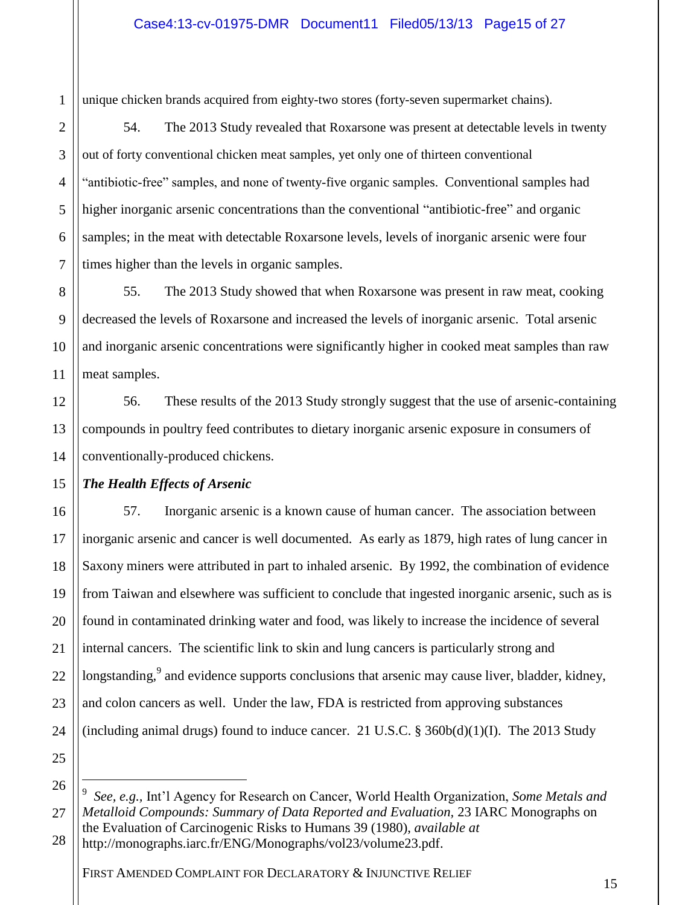unique chicken brands acquired from eighty-two stores (forty-seven supermarket chains).

54. The 2013 Study revealed that Roxarsone was present at detectable levels in twenty out of forty conventional chicken meat samples, yet only one of thirteen conventional "antibiotic-free" samples, and none of twenty-five organic samples. Conventional samples had higher inorganic arsenic concentrations than the conventional "antibiotic-free" and organic samples; in the meat with detectable Roxarsone levels, levels of inorganic arsenic were four times higher than the levels in organic samples.

8 9 10 11 55. The 2013 Study showed that when Roxarsone was present in raw meat, cooking decreased the levels of Roxarsone and increased the levels of inorganic arsenic. Total arsenic and inorganic arsenic concentrations were significantly higher in cooked meat samples than raw meat samples.

12 14 56. These results of the 2013 Study strongly suggest that the use of arsenic-containing compounds in poultry feed contributes to dietary inorganic arsenic exposure in consumers of conventionally-produced chickens.

#### 15 *The Health Effects of Arsenic*

57. Inorganic arsenic is a known cause of human cancer. The association between inorganic arsenic and cancer is well documented. As early as 1879, high rates of lung cancer in Saxony miners were attributed in part to inhaled arsenic. By 1992, the combination of evidence from Taiwan and elsewhere was sufficient to conclude that ingested inorganic arsenic, such as is found in contaminated drinking water and food, was likely to increase the incidence of several internal cancers. The scientific link to skin and lung cancers is particularly strong and longstanding,<sup>9</sup> and evidence supports conclusions that arsenic may cause liver, bladder, kidney, and colon cancers as well. Under the law, FDA is restricted from approving substances (including animal drugs) found to induce cancer. 21 U.S.C.  $\S$  360b(d)(1)(I). The 2013 Study

25 26

 $\overline{a}$ 

1

2

3

4

5

6

7

13

16

17

18

19

20

21

22

23

24

<sup>27</sup> 9 *See, e.g.,* Int'l Agency for Research on Cancer, World Health Organization, *Some Metals and Metalloid Compounds: Summary of Data Reported and Evaluation,* 23 IARC Monographs on the Evaluation of Carcinogenic Risks to Humans 39 (1980), *available at* 

<sup>28</sup> http://monographs.iarc.fr/ENG/Monographs/vol23/volume23.pdf.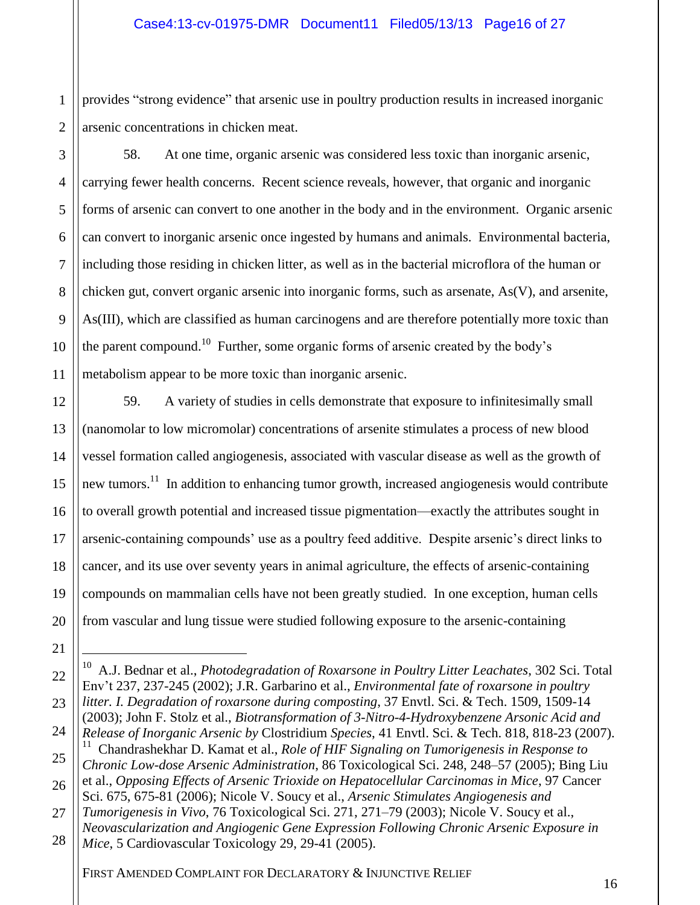1 2 provides "strong evidence" that arsenic use in poultry production results in increased inorganic arsenic concentrations in chicken meat.

3 4 5 6 7 8 9 10 11 58. At one time, organic arsenic was considered less toxic than inorganic arsenic, carrying fewer health concerns. Recent science reveals, however, that organic and inorganic forms of arsenic can convert to one another in the body and in the environment. Organic arsenic can convert to inorganic arsenic once ingested by humans and animals. Environmental bacteria, including those residing in chicken litter, as well as in the bacterial microflora of the human or chicken gut, convert organic arsenic into inorganic forms, such as arsenate, As(V), and arsenite, As(III), which are classified as human carcinogens and are therefore potentially more toxic than the parent compound.<sup>10</sup> Further, some organic forms of arsenic created by the body's metabolism appear to be more toxic than inorganic arsenic.

12 19 59. A variety of studies in cells demonstrate that exposure to infinitesimally small (nanomolar to low micromolar) concentrations of arsenite stimulates a process of new blood vessel formation called angiogenesis, associated with vascular disease as well as the growth of new tumors.<sup>11</sup> In addition to enhancing tumor growth, increased angiogenesis would contribute to overall growth potential and increased tissue pigmentation—exactly the attributes sought in arsenic-containing compounds' use as a poultry feed additive. Despite arsenic's direct links to cancer, and its use over seventy years in animal agriculture, the effects of arsenic-containing compounds on mammalian cells have not been greatly studied. In one exception, human cells from vascular and lung tissue were studied following exposure to the arsenic-containing

20 21

24

13

14

15

16

17

18

*Release of Inorganic Arsenic by* Clostridium *Species*, 41 Envtl. Sci. & Tech. 818, 818-23 (2007). 11 Chandrashekhar D. Kamat et al., *Role of HIF Signaling on Tumorigenesis in Response to* 

<sup>22</sup> 23  $\overline{a}$ <sup>10</sup> A.J. Bednar et al., *Photodegradation of Roxarsone in Poultry Litter Leachates*, 302 Sci. Total Env't 237, 237-245 (2002); J.R. Garbarino et al., *Environmental fate of roxarsone in poultry litter. I. Degradation of roxarsone during composting*, 37 Envtl. Sci. & Tech. 1509, 1509-14 (2003); John F. Stolz et al., *Biotransformation of 3-Nitro-4-Hydroxybenzene Arsonic Acid and* 

<sup>25</sup> *Chronic Low-dose Arsenic Administration*, 86 Toxicological Sci. 248, 248–57 (2005); Bing Liu et al., *Opposing Effects of Arsenic Trioxide on Hepatocellular Carcinomas in Mice*, 97 Cancer

<sup>26</sup> 27 Sci. 675, 675-81 (2006); Nicole V. Soucy et al., *Arsenic Stimulates Angiogenesis and Tumorigenesis in Vivo*, 76 Toxicological Sci. 271, 271–79 (2003); Nicole V. Soucy et al.,

*Neovascularization and Angiogenic Gene Expression Following Chronic Arsenic Exposure in* 

<sup>28</sup> *Mice*, 5 Cardiovascular Toxicology 29, 29-41 (2005).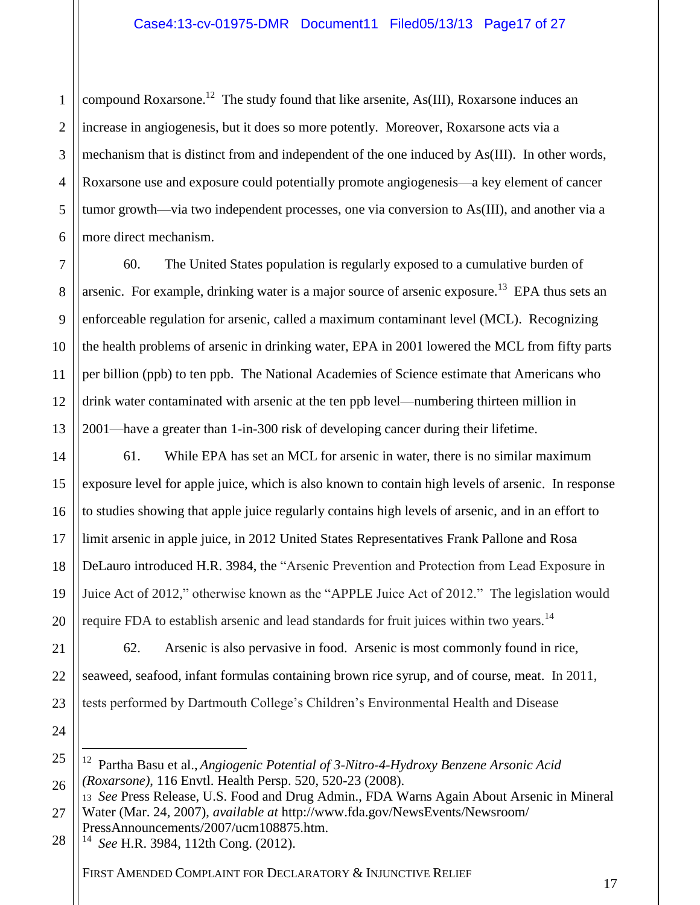1 2 3 4 5 6 compound Roxarsone.<sup>12</sup> The study found that like arsenite, As(III), Roxarsone induces an increase in angiogenesis, but it does so more potently. Moreover, Roxarsone acts via a mechanism that is distinct from and independent of the one induced by As(III). In other words, Roxarsone use and exposure could potentially promote angiogenesis—a key element of cancer tumor growth—via two independent processes, one via conversion to As(III), and another via a more direct mechanism.

7 8 9 10 11 12 13 60. The United States population is regularly exposed to a cumulative burden of arsenic. For example, drinking water is a major source of arsenic exposure.<sup>13</sup> EPA thus sets an enforceable regulation for arsenic, called a maximum contaminant level (MCL). Recognizing the health problems of arsenic in drinking water, EPA in 2001 lowered the MCL from fifty parts per billion (ppb) to ten ppb. The National Academies of Science estimate that Americans who drink water contaminated with arsenic at the ten ppb level—numbering thirteen million in 2001—have a greater than 1-in-300 risk of developing cancer during their lifetime.

14 15 16 17 18 19 20 61. While EPA has set an MCL for arsenic in water, there is no similar maximum exposure level for apple juice, which is also known to contain high levels of arsenic. In response to studies showing that apple juice regularly contains high levels of arsenic, and in an effort to limit arsenic in apple juice, in 2012 United States Representatives Frank Pallone and Rosa DeLauro introduced H.R. 3984, the "Arsenic Prevention and Protection from Lead Exposure in Juice Act of 2012," otherwise known as the "APPLE Juice Act of 2012." The legislation would require FDA to establish arsenic and lead standards for fruit juices within two years.<sup>14</sup>

62. Arsenic is also pervasive in food. Arsenic is most commonly found in rice, seaweed, seafood, infant formulas containing brown rice syrup, and of course, meat. In 2011, tests performed by Dartmouth College's Children's Environmental Health and Disease

25 26 12 Partha Basu et al., *Angiogenic Potential of 3-Nitro-4-Hydroxy Benzene Arsonic Acid (Roxarsone)*, 116 Envtl. Health Persp. 520, 520-23 (2008).

28 14 *See* H.R. 3984, 112th Cong. (2012).

21

22

23

24

 $\overline{a}$ 

<sup>27</sup> <sup>13</sup> *See* Press Release, U.S. Food and Drug Admin., FDA Warns Again About Arsenic in Mineral Water (Mar. 24, 2007), *available at* http://www.fda.gov/NewsEvents/Newsroom/ PressAnnouncements/2007/ucm108875.htm.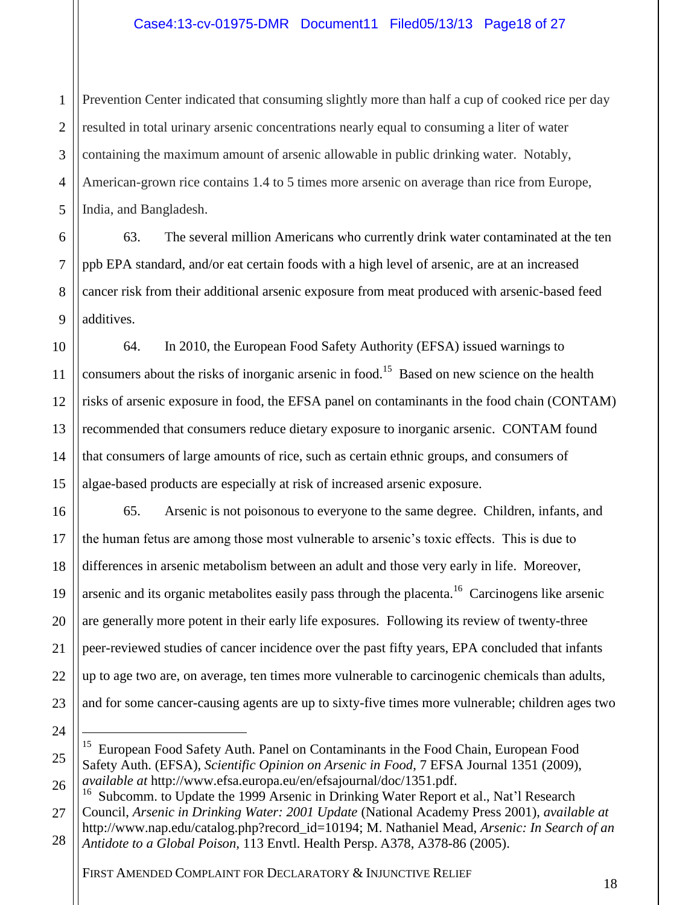1 2 3 4 5 Prevention Center indicated that consuming slightly more than half a cup of cooked rice per day resulted in total urinary arsenic concentrations nearly equal to consuming a liter of water containing the maximum amount of arsenic allowable in public drinking water. Notably, American-grown rice contains 1.4 to 5 times more arsenic on average than rice from Europe, India, and Bangladesh.

6 7 8 9 63. The several million Americans who currently drink water contaminated at the ten ppb EPA standard, and/or eat certain foods with a high level of arsenic, are at an increased cancer risk from their additional arsenic exposure from meat produced with arsenic-based feed additives.

10 11 12 13 14 15 64. In 2010, the European Food Safety Authority (EFSA) issued warnings to consumers about the risks of inorganic arsenic in food.<sup>15</sup> Based on new science on the health risks of arsenic exposure in food, the EFSA panel on contaminants in the food chain (CONTAM) recommended that consumers reduce dietary exposure to inorganic arsenic. CONTAM found that consumers of large amounts of rice, such as certain ethnic groups, and consumers of algae-based products are especially at risk of increased arsenic exposure.

65. Arsenic is not poisonous to everyone to the same degree. Children, infants, and the human fetus are among those most vulnerable to arsenic's toxic effects. This is due to differences in arsenic metabolism between an adult and those very early in life. Moreover, arsenic and its organic metabolites easily pass through the placenta.<sup>16</sup> Carcinogens like arsenic are generally more potent in their early life exposures. Following its review of twenty-three peer-reviewed studies of cancer incidence over the past fifty years, EPA concluded that infants up to age two are, on average, ten times more vulnerable to carcinogenic chemicals than adults, and for some cancer-causing agents are up to sixty-five times more vulnerable; children ages two

 $\overline{a}$ 

25

16

17

18

19

20

21

22

23

26 27 Subcomm. to Update the 1999 Arsenic in Drinking Water Report et al., Nat'l Research Council, *Arsenic in Drinking Water: 2001 Update* (National Academy Press 2001), *available at* 

<sup>24</sup>

<sup>&</sup>lt;sup>15</sup> European Food Safety Auth. Panel on Contaminants in the Food Chain, European Food Safety Auth. (EFSA), *Scientific Opinion on Arsenic in Food*, 7 EFSA Journal 1351 (2009), *available at* http://www.efsa.europa.eu/en/efsajournal/doc/1351.pdf.

<sup>28</sup> http://www.nap.edu/catalog.php?record\_id=10194; M. Nathaniel Mead, *Arsenic: In Search of an Antidote to a Global Poison,* 113 Envtl. Health Persp. A378, A378-86 (2005).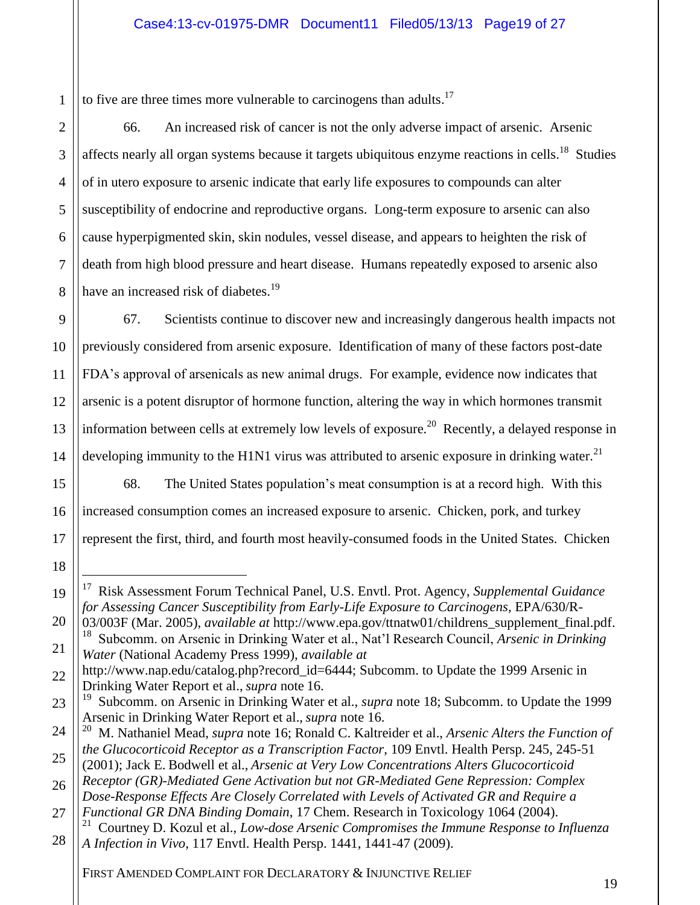1 to five are three times more vulnerable to carcinogens than adults.<sup>17</sup>

2

3

4

5

6

7

8

15

16

17

18

 $\overline{a}$ 

19

66. An increased risk of cancer is not the only adverse impact of arsenic. Arsenic affects nearly all organ systems because it targets ubiquitous enzyme reactions in cells.<sup>18</sup> Studies of in utero exposure to arsenic indicate that early life exposures to compounds can alter susceptibility of endocrine and reproductive organs. Long-term exposure to arsenic can also cause hyperpigmented skin, skin nodules, vessel disease, and appears to heighten the risk of death from high blood pressure and heart disease. Humans repeatedly exposed to arsenic also have an increased risk of diabetes.<sup>19</sup>

9 10 11 12 13 14 67. Scientists continue to discover new and increasingly dangerous health impacts not previously considered from arsenic exposure. Identification of many of these factors post-date FDA's approval of arsenicals as new animal drugs. For example, evidence now indicates that arsenic is a potent disruptor of hormone function, altering the way in which hormones transmit information between cells at extremely low levels of exposure.<sup>20</sup> Recently, a delayed response in developing immunity to the H1N1 virus was attributed to arsenic exposure in drinking water.<sup>21</sup>

68. The United States population's meat consumption is at a record high. With this increased consumption comes an increased exposure to arsenic. Chicken, pork, and turkey represent the first, third, and fourth most heavily-consumed foods in the United States. Chicken

*Water* (National Academy Press 1999), *available at* 

<sup>17</sup> Risk Assessment Forum Technical Panel, U.S. Envtl. Prot. Agency, *Supplemental Guidance*  for Assessing Cancer Susceptibility from Early-Life Exposure to Carcinogens, EPA/630/R-

<sup>20</sup> 21 03/003F (Mar. 2005), *available at* http://www.epa.gov/ttnatw01/childrens\_supplement\_final.pdf. 18 Subcomm. on Arsenic in Drinking Water et al., Nat'l Research Council, *Arsenic in Drinking* 

<sup>22</sup> http://www.nap.edu/catalog.php?record\_id=6444; Subcomm. to Update the 1999 Arsenic in Drinking Water Report et al., *supra* note 16.

<sup>23</sup> <sup>19</sup> Subcomm. on Arsenic in Drinking Water et al., *supra* note 18; Subcomm. to Update the 1999 Arsenic in Drinking Water Report et al., *supra* note 16.

<sup>24</sup> 25 20 M. Nathaniel Mead, *supra* note 16; Ronald C. Kaltreider et al., *Arsenic Alters the Function of the Glucocorticoid Receptor as a Transcription Factor*, 109 Envtl. Health Persp. 245, 245-51

<sup>(2001);</sup> Jack E. Bodwell et al., *Arsenic at Very Low Concentrations Alters Glucocorticoid Receptor (GR)-Mediated Gene Activation but not GR-Mediated Gene Repression: Complex* 

<sup>26</sup> 27 *Dose-Response Effects Are Closely Correlated with Levels of Activated GR and Require a Functional GR DNA Binding Domain*, 17 Chem. Research in Toxicology 1064 (2004).

<sup>28</sup> 21 Courtney D. Kozul et al., *Low-dose Arsenic Compromises the Immune Response to Influenza A Infection in Vivo*, 117 Envtl. Health Persp. 1441, 1441-47 (2009).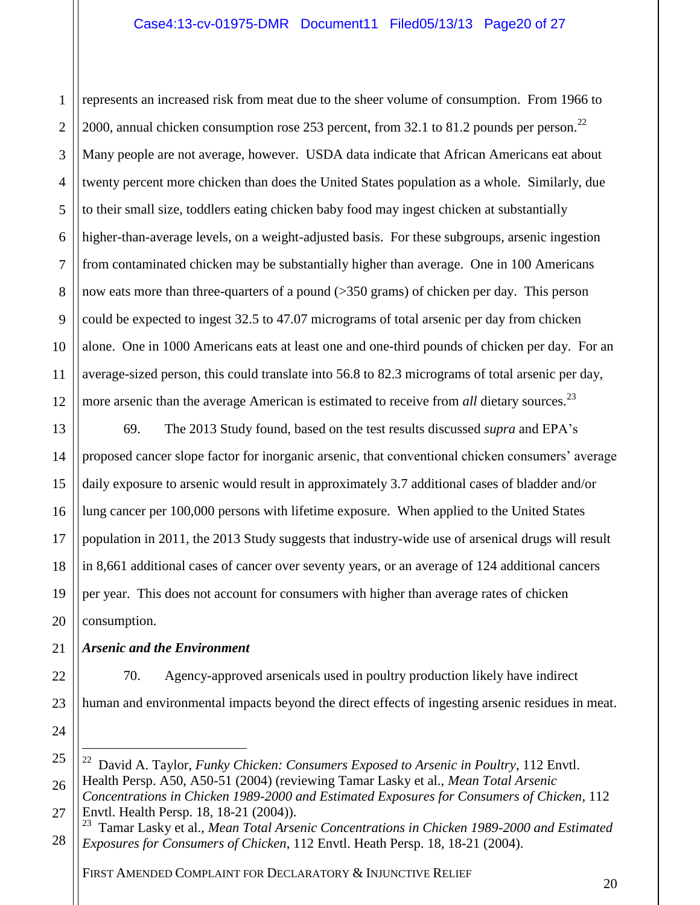1 2 3 4 5 6 7 8 9 10 11 12 represents an increased risk from meat due to the sheer volume of consumption. From 1966 to 2000, annual chicken consumption rose 253 percent, from 32.1 to 81.2 pounds per person.<sup>22</sup> Many people are not average, however. USDA data indicate that African Americans eat about twenty percent more chicken than does the United States population as a whole. Similarly, due to their small size, toddlers eating chicken baby food may ingest chicken at substantially higher-than-average levels, on a weight-adjusted basis. For these subgroups, arsenic ingestion from contaminated chicken may be substantially higher than average. One in 100 Americans now eats more than three-quarters of a pound (>350 grams) of chicken per day. This person could be expected to ingest 32.5 to 47.07 micrograms of total arsenic per day from chicken alone. One in 1000 Americans eats at least one and one-third pounds of chicken per day. For an average-sized person, this could translate into 56.8 to 82.3 micrograms of total arsenic per day, more arsenic than the average American is estimated to receive from *all* dietary sources.<sup>23</sup>

13 14 16 18 19 20 69. The 2013 Study found, based on the test results discussed *supra* and EPA's proposed cancer slope factor for inorganic arsenic, that conventional chicken consumers' average daily exposure to arsenic would result in approximately 3.7 additional cases of bladder and/or lung cancer per 100,000 persons with lifetime exposure. When applied to the United States population in 2011, the 2013 Study suggests that industry-wide use of arsenical drugs will result in 8,661 additional cases of cancer over seventy years, or an average of 124 additional cancers per year. This does not account for consumers with higher than average rates of chicken consumption.

#### 21 *Arsenic and the Environment*

15

17

22

23

24

 $\overline{a}$ 

70. Agency-approved arsenicals used in poultry production likely have indirect human and environmental impacts beyond the direct effects of ingesting arsenic residues in meat.

<sup>25</sup> 26 <sup>22</sup> David A. Taylor, *Funky Chicken: Consumers Exposed to Arsenic in Poultry*, 112 Envtl. Health Persp. A50, A50-51 (2004) (reviewing Tamar Lasky et al., *Mean Total Arsenic* 

<sup>27</sup> *Concentrations in Chicken 1989-2000 and Estimated Exposures for Consumers of Chicken*, 112 Envtl. Health Persp. 18, 18-21 (2004)).

<sup>28</sup> <sup>23</sup> Tamar Lasky et al., *Mean Total Arsenic Concentrations in Chicken 1989-2000 and Estimated Exposures for Consumers of Chicken*, 112 Envtl. Heath Persp. 18, 18-21 (2004).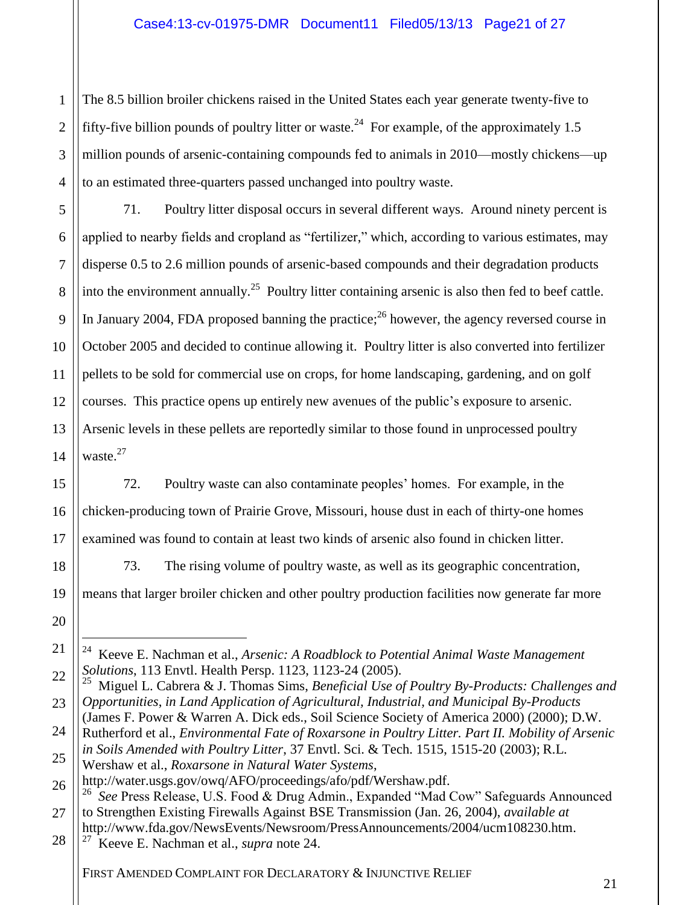4 The 8.5 billion broiler chickens raised in the United States each year generate twenty-five to fifty-five billion pounds of poultry litter or waste.<sup>24</sup> For example, of the approximately 1.5 million pounds of arsenic-containing compounds fed to animals in 2010—mostly chickens—up to an estimated three-quarters passed unchanged into poultry waste.

14 71. Poultry litter disposal occurs in several different ways. Around ninety percent is applied to nearby fields and cropland as "fertilizer," which, according to various estimates, may disperse 0.5 to 2.6 million pounds of arsenic-based compounds and their degradation products into the environment annually.<sup>25</sup> Poultry litter containing arsenic is also then fed to beef cattle. In January 2004, FDA proposed banning the practice;<sup>26</sup> however, the agency reversed course in October 2005 and decided to continue allowing it. Poultry litter is also converted into fertilizer pellets to be sold for commercial use on crops, for home landscaping, gardening, and on golf courses. This practice opens up entirely new avenues of the public's exposure to arsenic. Arsenic levels in these pellets are reportedly similar to those found in unprocessed poultry waste. $27$ 

72. Poultry waste can also contaminate peoples' homes. For example, in the chicken-producing town of Prairie Grove, Missouri, house dust in each of thirty-one homes examined was found to contain at least two kinds of arsenic also found in chicken litter.

73. The rising volume of poultry waste, as well as its geographic concentration,

means that larger broiler chicken and other poultry production facilities now generate far more

22 23 25 Miguel L. Cabrera & J. Thomas Sims, *Beneficial Use of Poultry By-Products: Challenges and Opportunities*, *in Land Application of Agricultural, Industrial, and Municipal By-Products*

24 (James F. Power & Warren A. Dick eds., Soil Science Society of America 2000) (2000); D.W. Rutherford et al., *Environmental Fate of Roxarsone in Poultry Litter. Part II. Mobility of Arsenic in Soils Amended with Poultry Litter*, 37 Envtl. Sci. & Tech. 1515, 1515-20 (2003); R.L.

25 Wershaw et al., *Roxarsone in Natural Water Systems*,

1

2

3

5

6

7

8

9

10

11

12

13

15

16

17

18

19

20

21

 $\overline{a}$ 

<sup>24</sup> Keeve E. Nachman et al., *Arsenic: A Roadblock to Potential Animal Waste Management Solutions*, 113 Envtl. Health Persp. 1123, 1123-24 (2005).

<sup>26</sup> http://water.usgs.gov/owq/AFO/proceedings/afo/pdf/Wershaw.pdf. 26

<sup>27</sup> *See* Press Release, U.S. Food & Drug Admin., Expanded "Mad Cow" Safeguards Announced to Strengthen Existing Firewalls Against BSE Transmission (Jan. 26, 2004), *available at* http://www.fda.gov/NewsEvents/Newsroom/PressAnnouncements/2004/ucm108230.htm.

<sup>28</sup> 27 Keeve E. Nachman et al., *supra* note 24.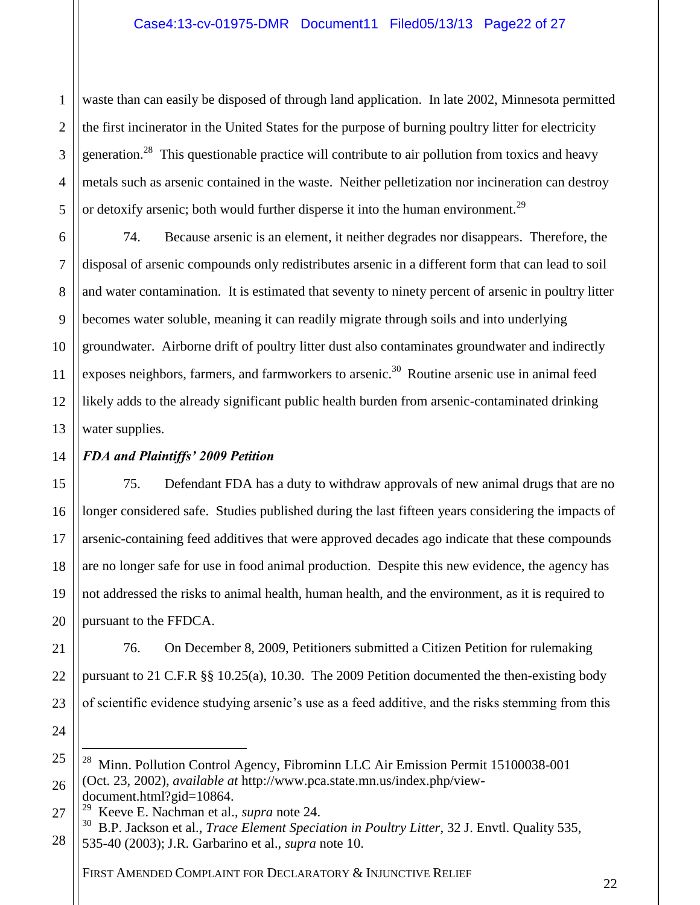1 2 3 4 5 waste than can easily be disposed of through land application. In late 2002, Minnesota permitted the first incinerator in the United States for the purpose of burning poultry litter for electricity generation.<sup>28</sup> This questionable practice will contribute to air pollution from toxics and heavy metals such as arsenic contained in the waste. Neither pelletization nor incineration can destroy or detoxify arsenic; both would further disperse it into the human environment.<sup>29</sup>

6 7 8 9 10 11 12 13 74. Because arsenic is an element, it neither degrades nor disappears. Therefore, the disposal of arsenic compounds only redistributes arsenic in a different form that can lead to soil and water contamination. It is estimated that seventy to ninety percent of arsenic in poultry litter becomes water soluble, meaning it can readily migrate through soils and into underlying groundwater. Airborne drift of poultry litter dust also contaminates groundwater and indirectly exposes neighbors, farmers, and farmworkers to arsenic.<sup>30</sup> Routine arsenic use in animal feed likely adds to the already significant public health burden from arsenic-contaminated drinking water supplies.

#### 14 *FDA and Plaintiffs' 2009 Petition*

15

16

17

18

19

20

24

 $\overline{a}$ 

75. Defendant FDA has a duty to withdraw approvals of new animal drugs that are no longer considered safe. Studies published during the last fifteen years considering the impacts of arsenic-containing feed additives that were approved decades ago indicate that these compounds are no longer safe for use in food animal production. Despite this new evidence, the agency has not addressed the risks to animal health, human health, and the environment, as it is required to pursuant to the FFDCA.

21 22 23 76. On December 8, 2009, Petitioners submitted a Citizen Petition for rulemaking pursuant to 21 C.F.R §§ 10.25(a), 10.30. The 2009 Petition documented the then-existing body of scientific evidence studying arsenic's use as a feed additive, and the risks stemming from this

<sup>25</sup> 26 28 Minn. Pollution Control Agency, Fibrominn LLC Air Emission Permit 15100038-001 (Oct. 23, 2002), *available at* http://www.pca.state.mn.us/index.php/viewdocument.html?gid=10864.

<sup>27</sup> 29 Keeve E. Nachman et al., *supra* note 24.

<sup>28</sup> 30 B.P. Jackson et al., *Trace Element Speciation in Poultry Litter*, 32 J. Envtl. Quality 535, 535-40 (2003); J.R. Garbarino et al., *supra* note 10.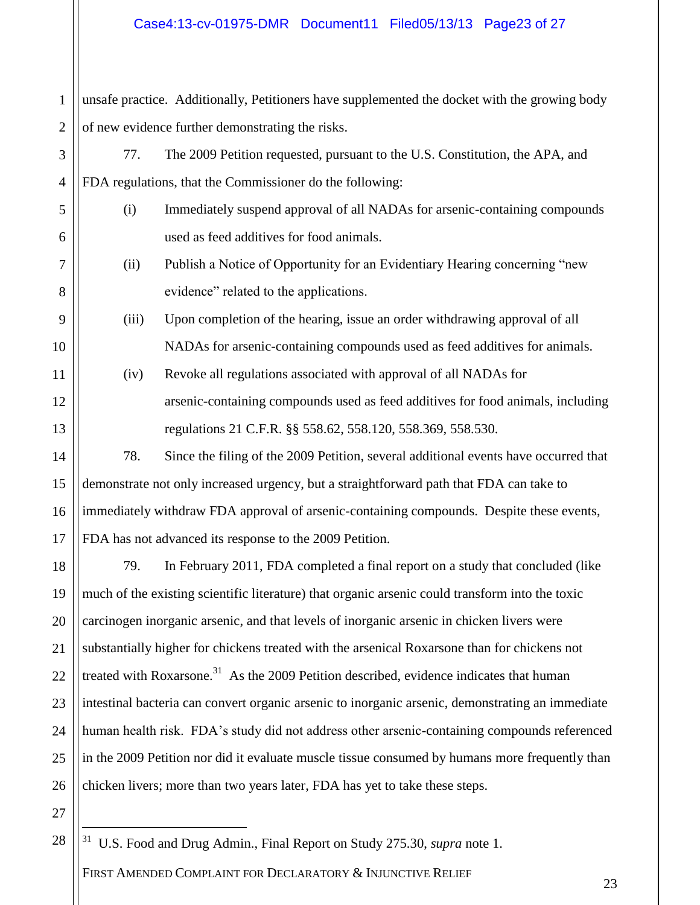## Case4:13-cv-01975-DMR Document11 Filed05/13/13 Page23 of 27

1 2 unsafe practice. Additionally, Petitioners have supplemented the docket with the growing body of new evidence further demonstrating the risks.

3 4 77. The 2009 Petition requested, pursuant to the U.S. Constitution, the APA, and FDA regulations, that the Commissioner do the following:

- (i) Immediately suspend approval of all NADAs for arsenic-containing compounds used as feed additives for food animals.
	- (ii) Publish a Notice of Opportunity for an Evidentiary Hearing concerning "new evidence" related to the applications.
	- (iii) Upon completion of the hearing, issue an order withdrawing approval of all NADAs for arsenic-containing compounds used as feed additives for animals.
- (iv) Revoke all regulations associated with approval of all NADAs for arsenic-containing compounds used as feed additives for food animals, including regulations 21 C.F.R. §§ 558.62, 558.120, 558.369, 558.530.

# 78. Since the filing of the 2009 Petition, several additional events have occurred that demonstrate not only increased urgency, but a straightforward path that FDA can take to immediately withdraw FDA approval of arsenic-containing compounds. Despite these events, FDA has not advanced its response to the 2009 Petition.

18 19 20 21 22 23 24 25 26 79. In February 2011, FDA completed a final report on a study that concluded (like much of the existing scientific literature) that organic arsenic could transform into the toxic carcinogen inorganic arsenic, and that levels of inorganic arsenic in chicken livers were substantially higher for chickens treated with the arsenical Roxarsone than for chickens not treated with Roxarsone.<sup>31</sup> As the 2009 Petition described, evidence indicates that human intestinal bacteria can convert organic arsenic to inorganic arsenic, demonstrating an immediate human health risk. FDA's study did not address other arsenic-containing compounds referenced in the 2009 Petition nor did it evaluate muscle tissue consumed by humans more frequently than chicken livers; more than two years later, FDA has yet to take these steps.

27

 $\overline{a}$ 

28

5

6

7

8

9

10

11

12

13

14

15

16

17

FIRST AMENDED COMPLAINT FOR DECLARATORY & INJUNCTIVE RELIEF <sup>31</sup> U.S. Food and Drug Admin., Final Report on Study 275.30, *supra* note 1.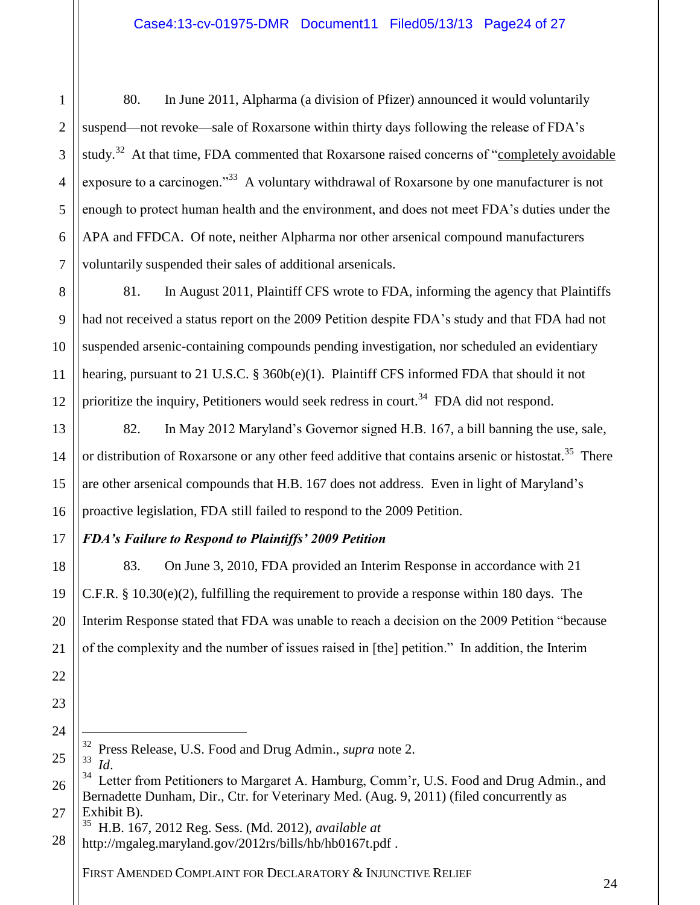80. In June 2011, Alpharma (a division of Pfizer) announced it would voluntarily suspend—not revoke—sale of Roxarsone within thirty days following the release of FDA's study.<sup>32</sup> At that time, FDA commented that Roxarsone raised concerns of "completely avoidable exposure to a carcinogen."<sup>33</sup> A voluntary withdrawal of Roxarsone by one manufacturer is not enough to protect human health and the environment, and does not meet FDA's duties under the APA and FFDCA. Of note, neither Alpharma nor other arsenical compound manufacturers voluntarily suspended their sales of additional arsenicals.

8 10 11 12 81. In August 2011, Plaintiff CFS wrote to FDA, informing the agency that Plaintiffs had not received a status report on the 2009 Petition despite FDA's study and that FDA had not suspended arsenic-containing compounds pending investigation, nor scheduled an evidentiary hearing, pursuant to 21 U.S.C. § 360b(e)(1). Plaintiff CFS informed FDA that should it not prioritize the inquiry, Petitioners would seek redress in court.<sup>34</sup> FDA did not respond.

82. In May 2012 Maryland's Governor signed H.B. 167, a bill banning the use, sale, or distribution of Roxarsone or any other feed additive that contains arsenic or histostat.<sup>35</sup> There are other arsenical compounds that H.B. 167 does not address. Even in light of Maryland's proactive legislation, FDA still failed to respond to the 2009 Petition.

# *FDA's Failure to Respond to Plaintiffs' 2009 Petition*

83. On June 3, 2010, FDA provided an Interim Response in accordance with 21 C.F.R.  $\S$  10.30(e)(2), fulfilling the requirement to provide a response within 180 days. The Interim Response stated that FDA was unable to reach a decision on the 2009 Petition "because of the complexity and the number of issues raised in [the] petition." In addition, the Interim

- <sup>32</sup> Press Release, U.S. Food and Drug Admin., *supra* note 2.
- <sup>33</sup> *Id*.

 $\overline{a}$ 

1

2

3

4

5

6

7

9

13

14

15

16

17

18

19

20

21

22

23

24

25

26

27

<sup>34</sup> Letter from Petitioners to Margaret A. Hamburg, Comm'r, U.S. Food and Drug Admin., and Bernadette Dunham, Dir., Ctr. for Veterinary Med. (Aug. 9, 2011) (filed concurrently as Exhibit B).

<sup>28</sup> <sup>35</sup> H.B. 167, 2012 Reg. Sess. (Md. 2012), *available at* http://mgaleg.maryland.gov/2012rs/bills/hb/hb0167t.pdf .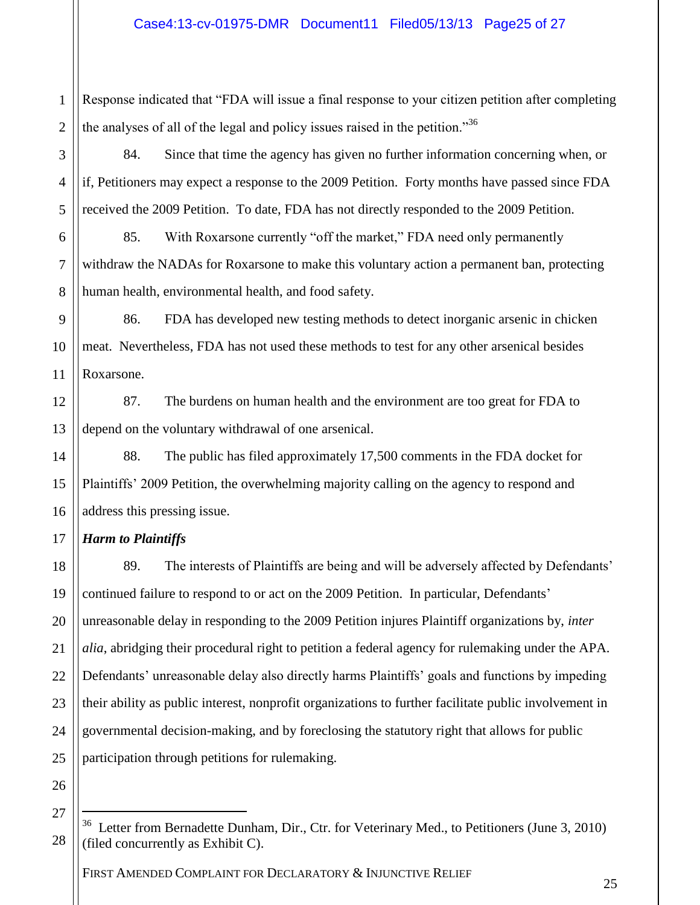1 2 Response indicated that "FDA will issue a final response to your citizen petition after completing the analyses of all of the legal and policy issues raised in the petition."<sup>36</sup>

84. Since that time the agency has given no further information concerning when, or if, Petitioners may expect a response to the 2009 Petition. Forty months have passed since FDA received the 2009 Petition. To date, FDA has not directly responded to the 2009 Petition.

85. With Roxarsone currently "off the market," FDA need only permanently withdraw the NADAs for Roxarsone to make this voluntary action a permanent ban, protecting human health, environmental health, and food safety.

9 10 11 86. FDA has developed new testing methods to detect inorganic arsenic in chicken meat. Nevertheless, FDA has not used these methods to test for any other arsenical besides Roxarsone.

12 13 87. The burdens on human health and the environment are too great for FDA to depend on the voluntary withdrawal of one arsenical.

14 16 88. The public has filed approximately 17,500 comments in the FDA docket for Plaintiffs' 2009 Petition, the overwhelming majority calling on the agency to respond and address this pressing issue.

#### 17 *Harm to Plaintiffs*

18 19 20 21 22 23 24 25 89. The interests of Plaintiffs are being and will be adversely affected by Defendants' continued failure to respond to or act on the 2009 Petition. In particular, Defendants' unreasonable delay in responding to the 2009 Petition injures Plaintiff organizations by, *inter alia*, abridging their procedural right to petition a federal agency for rulemaking under the APA. Defendants' unreasonable delay also directly harms Plaintiffs' goals and functions by impeding their ability as public interest, nonprofit organizations to further facilitate public involvement in governmental decision-making, and by foreclosing the statutory right that allows for public participation through petitions for rulemaking.

26 27

 $\overline{a}$ 

28

3

4

5

6

7

8

15

<sup>&</sup>lt;sup>36</sup> Letter from Bernadette Dunham, Dir., Ctr. for Veterinary Med., to Petitioners (June 3, 2010) (filed concurrently as Exhibit C).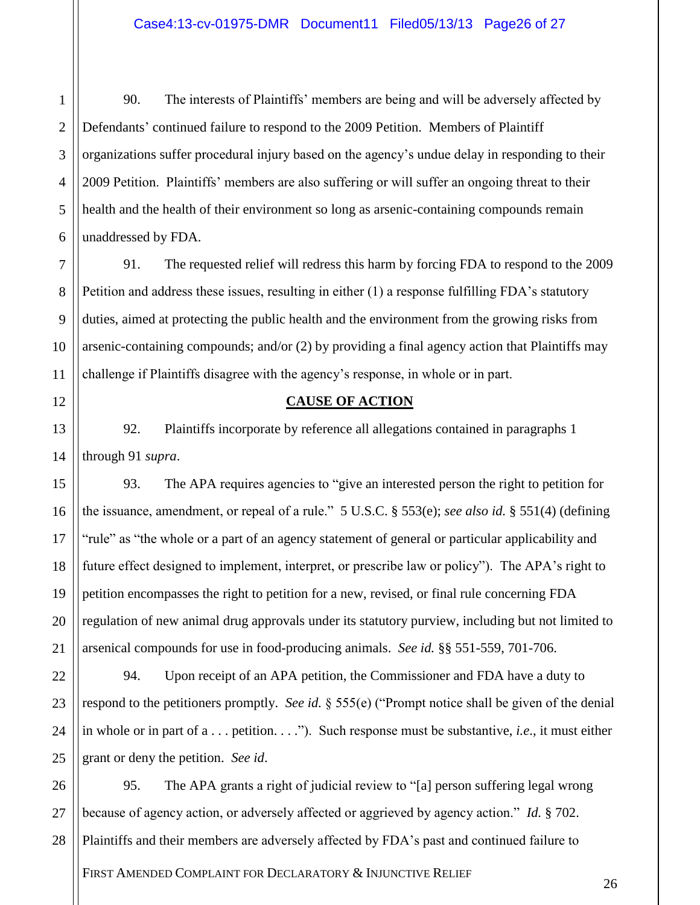1 2 3 4 5 6 90. The interests of Plaintiffs' members are being and will be adversely affected by Defendants' continued failure to respond to the 2009 Petition. Members of Plaintiff organizations suffer procedural injury based on the agency's undue delay in responding to their 2009 Petition. Plaintiffs' members are also suffering or will suffer an ongoing threat to their health and the health of their environment so long as arsenic-containing compounds remain unaddressed by FDA.

7 8 9 10 11 91. The requested relief will redress this harm by forcing FDA to respond to the 2009 Petition and address these issues, resulting in either (1) a response fulfilling FDA's statutory duties, aimed at protecting the public health and the environment from the growing risks from arsenic-containing compounds; and/or (2) by providing a final agency action that Plaintiffs may challenge if Plaintiffs disagree with the agency's response, in whole or in part.

### 12

13

14

15

16

17

18

19

20

21

## **CAUSE OF ACTION**

92. Plaintiffs incorporate by reference all allegations contained in paragraphs 1 through 91 *supra*.

93. The APA requires agencies to "give an interested person the right to petition for the issuance, amendment, or repeal of a rule." 5 U.S.C. § 553(e); *see also id.* § 551(4) (defining "rule" as "the whole or a part of an agency statement of general or particular applicability and future effect designed to implement, interpret, or prescribe law or policy"). The APA's right to petition encompasses the right to petition for a new, revised, or final rule concerning FDA regulation of new animal drug approvals under its statutory purview, including but not limited to arsenical compounds for use in food-producing animals. *See id.* §§ 551-559, 701-706.

22 23 24 25 94. Upon receipt of an APA petition, the Commissioner and FDA have a duty to respond to the petitioners promptly. *See id.* § 555(e) ("Prompt notice shall be given of the denial in whole or in part of a . . . petition. . . ."). Such response must be substantive, *i.e*., it must either grant or deny the petition. *See id*.

26 27 28 95. The APA grants a right of judicial review to "[a] person suffering legal wrong because of agency action, or adversely affected or aggrieved by agency action." *Id.* § 702. Plaintiffs and their members are adversely affected by FDA's past and continued failure to